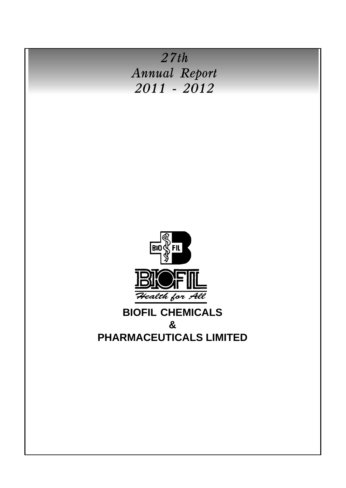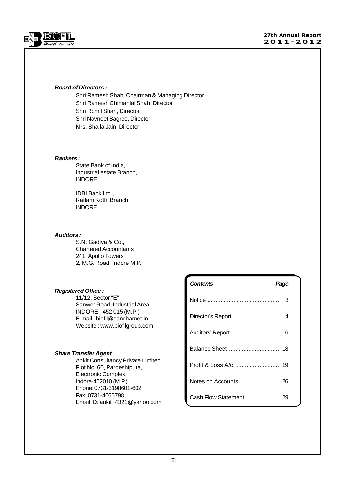

#### **Board of Directors :**

Shri Ramesh Shah, Chairman & Managing Director. Shri Ramesh Chimanlal Shah, Director Shri Romil Shah, Director Shri Navneet Bagree, Director Mrs. Shaila Jain, Director

#### **Bankers :**

State Bank of India, Industrial estate Branch, INDORE.

IDBI Bank Ltd., Ratlam Kothi Branch, INDORE

### **Auditors :**

S.N. Gadiya & Co., Chartered Accountants 241, Apollo Towers 2, M.G. Road, Indore M.P.

#### **Registered Office :**

11/12, Sector "E" Sanwer Road, Industrial Area, INDORE - 452 015 (M.P.) E-mail : biofil@sancharnet.in Website : www.biofilgroup.com

#### **Share Transfer Agent**

Ankit Consultancy Private Limited Plot No. 60, Pardeshipura, Electronic Complex, Indore-452010 (M.P.) Phone: 0731-3198601-602 Fax: 0731-4065798 Email ID: ankit\_4321@yahoo.com

| Contents | Page |
|----------|------|
|          | 3    |
|          |      |
|          |      |
|          |      |
|          |      |
|          |      |
|          |      |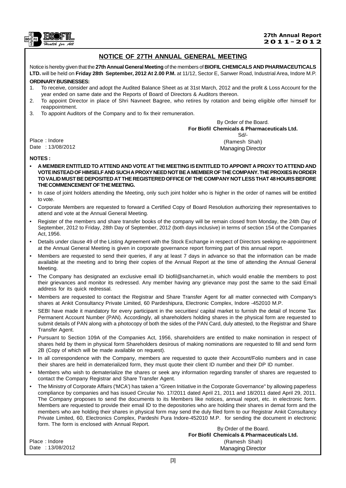

### **NOTICE OF 27TH ANNUAL GENERAL MEETING**

Notice is hereby given that the **27th Annual General Meeting** of the members of **BIOFIL CHEMICALS AND PHARMACEUTICALS LTD.** will be held on **Friday 28th September, 2012 At 2.00 P.M.** at 11/12, Sector E, Sanwer Road, Industrial Area, Indore M.P. **ORDINARY BUSINESSES:**

# 1. To receive, consider and adopt the Audited Balance Sheet as at 31st March, 2012 and the profit & Loss Account for the

- year ended on same date and the Reports of Board of Directors & Auditors thereon. 2. To appoint Director in place of Shri Navneet Bagree, who retires by rotation and being eligible offer himself for reappointment.
- 3. To appoint Auditors of the Company and to fix their remuneration.

By Order of the Board. **For Biofil Chemicals & Pharmaceuticals Ltd.** Sd/- (Ramesh Shah) Managing Director

Place : Indore Date : 13/08/2012

#### **NOTES :**

- **A MEMBER ENTITLED TO ATTEND AND VOTE AT THE MEETING IS ENTITLED TO APPOINT A PROXY TO ATTEND AND VOTE INSTEAD OF HIMSELF AND SUCH A PROXY NEED NOT BE A MEMBER OF THE COMPANY. THE PROXIES IN ORDER TO VALID MUST BE DEPOSITED AT THE REGISTERED OFFICE OF THE COMPANY NOT LESS THAT 48 HOURS BEFORE THE COMMENCEMENT OF THE MEETING.**
- In case of joint holders attending the Meeting, only such joint holder who is higher in the order of names will be entitled to vote.
- Corporate Members are requested to forward a Certified Copy of Board Resolution authorizing their representatives to attend and vote at the Annual General Meeting.
- Register of the members and share transfer books of the company will be remain closed from Monday, the 24th Day of September, 2012 to Friday, 28th Day of September, 2012 (both days inclusive) in terms of section 154 of the Companies Act, 1956.
- Details under clause 49 of the Listing Agreement with the Stock Exchange in respect of Directors seeking re-appointment at the Annual General Meeting is given in corporate governance report forming part of this annual report.
- Members are requested to send their queries, if any at least 7 days in advance so that the information can be made available at the meeting and to bring their copies of the Annual Report at the time of attending the Annual General Meeting.
- The Company has designated an exclusive email ID biofil@sancharnet.in, which would enable the members to post their grievances and monitor its redressed. Any member having any grievance may post the same to the said Email address for its quick redressal.
- Members are requested to contact the Registrar and Share Transfer Agent for all matter connected with Company's shares at Ankit Consultancy Private Limited, 60 Pardeshipura, Electronic Complex, Indore -452010 M.P.
- SEBI have made it mandatory for every participant in the securities/ capital market to furnish the detail of Income Tax Permanent Account Number (PAN). Accordingly, all shareholders holding shares in the physical form are requested to submit details of PAN along with a photocopy of both the sides of the PAN Card, duly attested, to the Registrar and Share Transfer Agent.
- Pursuant to Section 109A of the Companies Act, 1956, shareholders are entitled to make nomination in respect of shares held by them in physical form Shareholders desirous of making nominations are requested to fill and send form 2B (Copy of which will be made available on request).
- In all correspondence with the Company, members are requested to quote their Account/Folio numbers and in case their shares are held in dematerialized form, they must quote their client ID number and their DP ID number.
- Members who wish to dematerialize the shares or seek any information regarding transfer of shares are requested to contact the Company Registrar and Share Transfer Agent.
- The Ministry of Corporate Affairs ('MCA') has taken a "Green Initiative in the Corporate Governance" by allowing paperless compliance by companies and has issued Circular No. 17/2011 dated April 21, 2011 and 18/2011 dated April 29, 2011. The Company proposes to send the documents to its Members like notices, annual report, etc. in electronic form. Members are requested to provide their email ID to the depositories who are holding their shares in demat form and the members who are holding their shares in physical form may send the duly filed form to our Registrar Ankit Consultancy Private Limited, 60, Electronics Complex, Pardeshi Pura Indore-452010 M.P. for sending the document in electronic form. The form is enclosed with Annual Report.

By Order of the Board. **For Biofil Chemicals & Pharmaceuticals Ltd.** (Ramesh Shah) Managing Director

Place : Indore Date : 13/08/2012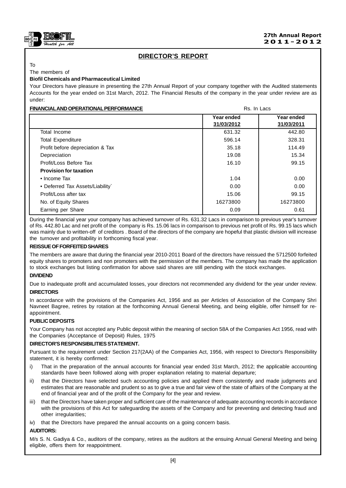

### **DIRECTOR'S REPORT**

To

#### The members of

#### **Biofil Chemicals and Pharmaceutical Limited**

Your Directors have pleasure in presenting the 27th Annual Report of your company together with the Audited statements Accounts for the year ended on 31st March, 2012. The Financial Results of the company in the year under review are as under:

#### **FINANCIALAND OPERATIONAL PERFORMANCE RIGHT CONSTRUCTED AS IN Lacs**

|                                  | Year ended<br>31/03/2012 | Year ended<br>31/03/2011 |
|----------------------------------|--------------------------|--------------------------|
| Total Income                     | 631.32                   | 442.80                   |
| <b>Total Expenditure</b>         | 596.14                   | 328.31                   |
| Profit before depreciation & Tax | 35.18                    | 114.49                   |
| Depreciation                     | 19.08                    | 15.34                    |
| Profit/Loss Before Tax           | 16.10                    | 99.15                    |
| <b>Provision for taxation</b>    |                          |                          |
| $\bullet$ Income Tax             | 1.04                     | 0.00                     |
| • Deferred Tax Assets/Liability` | 0.00                     | 0.00                     |
| Profit/Loss after tax            | 15.06                    | 99.15                    |
| No. of Equity Shares             | 16273800                 | 16273800                 |
| Earning per Share                | 0.09                     | 0.61                     |

During the financial year your company has achieved turnover of Rs. 631.32 Lacs in comparison to previous year's turnover of Rs. 442.80 Lac and net profit of the company is Rs. 15.06 lacs in comparison to previous net profit of Rs. 99.15 lacs which was mainly due to written-off of creditors . Board of the directors of the company are hopeful that plastic division will increase the turnover and profitability in forthcoming fiscal year.

#### **REISSUE OF FORFEITED SHARES**

The members are aware that during the financial year 2010-2011 Board of the directors have reissued the 5712500 forfeited equity shares to promoters and non promoters with the permission of the members. The company has made the application to stock exchanges but listing confirmation for above said shares are still pending with the stock exchanges.

#### **DIVIDEND**

Due to inadequate profit and accumulated losses, your directors not recommended any dividend for the year under review. **DIRECTORS**

In accordance with the provisions of the Companies Act, 1956 and as per Articles of Association of the Company Shri Navneet Bagree, retires by rotation at the forthcoming Annual General Meeting, and being eligible, offer himself for reappointment.

#### **PUBLIC DEPOSITS**

Your Company has not accepted any Public deposit within the meaning of section 58A of the Companies Act 1956, read with the Companies (Acceptance of Deposit) Rules, 1975

#### **DIRECTOR'S RESPONSIBILITIES STATEMENT.**

Pursuant to the requirement under Section 217(2AA) of the Companies Act, 1956, with respect to Director's Responsibility statement, it is hereby confirmed:

- i) That in the preparation of the annual accounts for financial year ended 31st March, 2012; the applicable accounting standards have been followed along with proper explanation relating to material departure;
- ii) that the Directors have selected such accounting policies and applied them consistently and made judgments and estimates that are reasonable and prudent so as to give a true and fair view of the state of affairs of the Company at the end of financial year and of the profit of the Company for the year and review.
- that the Directors have taken proper and sufficient care of the maintenance of adequate accounting records in accordance with the provisions of this Act for safeguarding the assets of the Company and for preventing and detecting fraud and other irregularities;
- iv) that the Directors have prepared the annual accounts on a going concern basis.

#### **AUDITORS:**

M/s S. N. Gadiya & Co., auditors of the company, retires as the auditors at the ensuing Annual General Meeting and being eligible, offers them for reappointment.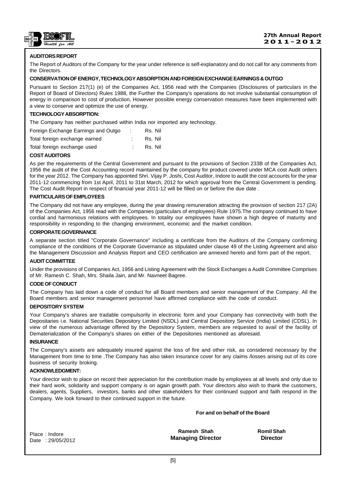

#### **AUDITORS REPORT**

The Report of Auditors of the Company for the year under reference is self-explanatory and do not call for any comments from the Directors.

#### **CONSERVATION OF ENERGY, TECHNOLOGY ABSORPTION AND FOREIGN EXCHANGE EARNINGS & OUTGO**

Pursuant to Section 217(1) (e) of the Companies Act, 1956 read with the Companies (Disclosures of particulars in the Report of Board of Directors) Rules 1988, the Further the Company's operations do not involve substantial consumption of energy in comparison to cost of production, However possible energy conservation measures have been implemented with a view to conserve and optimize the use of energy.

#### **TECHNOLOGY ABSORPTION:**

The Company has neither purchased within India nor imported any technology.

| Foreign Exchange Earnings and Outgo | Rs. Nil |
|-------------------------------------|---------|
| Total foreign exchange earned       | Rs. Nil |
| Total foreign exchange used         | Rs. Nil |

#### **COST AUDITORS**

As per the requirements of the Central Government and pursuant to the provisions of Section 233B of the Companies Act, 1956 the audit of the Cost Accounting record maintained by the company for product covered under MCA cost Audit orders for the year 2012. The Company has appointed Shri. Vijay P. Joshi, Cost Auditor, Indore to audit the cost accounts for the year 2011-12 commencing from 1st April, 2011 to 31st March, 2012 for which approval from the Central Government is pending. The Cost Audit Report in respect of financial year 2011-12 will be filled on or before the due date .

#### **PARTICULARS OF EMPLOYEES**

The Company did not have any employee, during the year drawing remuneration attracting the provision of section 217 (2A) of the Companies Act, 1956 read with the Companies (particulars of employees) Rule 1975.The company continued to have cordial and harmonious relations with employees. In totality our employees have shown a high degree of maturity and responsibility in responding to the changing environment, economic and the market condition.

#### **CORPORATE GOVERNANCE**

A separate section titled "Corporate Governance" including a certificate from the Auditors of the Company confirming compliance of the conditions of the Corporate Governance as stipulated under clause 49 of the Listing Agreement and also the Management Discussion and Analysis Report and CEO certification are annexed hereto and form part of the report.

#### **AUDIT COMMITTEE**

Under the provisions of Companies Act, 1956 and Listing Agreement with the Stock Exchanges a Audit Committee Comprises of Mr. Ramesh C. Shah, Mrs. Shaila Jain, and Mr. Navneet Bagree.

#### **CODE OF CONDUCT**

The Company has laid down a code of conduct for all Board members and senior management of the Company. All the Board members and senior management personnel have affirmed compliance with the code of conduct.

#### **DEPOSITORY SYSTEM**

Your Company's shares are tradable compulsorily in electronic form and your Company has connectivity with both the Depositaries i.e. National Securities Depository Limited (NSDL) and Central Depository Service (India) Limited (CDSL). In view of the numerous advantage offered by the Depository System, members are requested to avail of the facility of Dematerialization of the Company's shares on either of the Depositories mentioned as aforesaid.

#### **INSURANCE**

The Company's assets are adequately insured against the loss of fire and other risk, as considered necessary by the Management from time to time .The Company has also taken insurance cover for any claims /losses arising out of its core business of security broking.

#### **ACKNOWLEDGMENT:**

Your director wish to place on record their appreciation for the contribution made by employees at all levels and only due to their hard work, solidarity and support company is on again growth path. Your directors also wish to thank the customers, dealers, agents, Suppliers, investors, banks and other stakeholders for their continued support and faith respond in the Company. We look forward to their continued support in the future.

**For and on behalf of the Board**

Date : 29/05/2012

**Ramesh Shah Romil Shah Managing Director Director** Place : Indore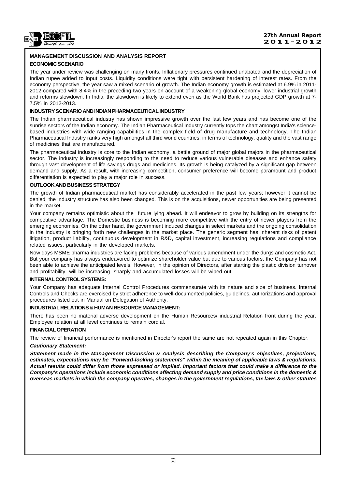

### **MANAGEMENT DISCUSSION AND ANALYSIS REPORT**

#### **ECONOMIC SCENARIO**

The year under review was challenging on many fronts. Inflationary pressures continued unabated and the depreciation of Indian rupee added to input costs. Liquidity conditions were tight with persistent hardening of interest rates. From the economy perspective, the year saw a mixed scenario of growth. The Indian economy growth is estimated at 6.9% in 2011- 2012 compared with 8.4% in the preceding two years on account of a weakening global economy, lower industrial growth and reforms slowdown. In India, the slowdown is likely to extend even as the World Bank has projected GDP growth at 7- 7.5% in 2012-2013.

#### **INDUSTRY SCENARIO AND INDIAN PHARMACEUTICAL INDUSTRY**

The Indian pharmaceutical industry has shown impressive growth over the last few years and has become one of the sunrise sectors of the Indian economy. The Indian Pharmaceutical Industry currently tops the chart amongst India's sciencebased industries with wide ranging capabilities in the complex field of drug manufacture and technology. The Indian Pharmaceutical Industry ranks very high amongst all third world countries, in terms of technology, quality and the vast range of medicines that are manufactured.

The pharmaceutical industry is core to the Indian economy, a battle ground of major global majors in the pharmaceutical sector. The industry is increasingly responding to the need to reduce various vulnerable diseases and enhance safety through vast development of life savings drugs and medicines. Its growth is being catalyzed by a significant gap between demand and supply. As a result, with increasing competition, consumer preference will become paramount and product differentiation is expected to play a major role in success.

#### **OUTLOOK AND BUSINESS STRATEGY**

The growth of Indian pharmaceutical market has considerably accelerated in the past few years; however it cannot be denied, the industry structure has also been changed. This is on the acquisitions, newer opportunities are being presented in the market.

Your company remains optimistic about the future lying ahead. It will endeavor to grow by building on its strengths for competitive advantage. The Domestic business is becoming more competitive with the entry of newer players from the emerging economies. On the other hand, the government induced changes in select markets and the ongoing consolidation in the industry is bringing forth new challenges in the market place. The generic segment has inherent risks of patent litigation, product liability, continuous development in R&D, capital investment, increasing regulations and compliance related issues, particularly in the developed markets.

Now days MSME pharma industries are facing problems because of various amendment under the durgs and cosmetic Act. But your company has always endeavored to optimize shareholder value but due to various factors, the Company has not been able to achieve the anticipated levels. However, in the opinion of Directors, after starting the plastic division turnover and profitability will be increasing sharply and accumulated losses will be wiped out.

#### **INTERNAL CONTROL SYSTEMS:**

Your Company has adequate Internal Control Procedures commensurate with its nature and size of business. Internal Controls and Checks are exercised by strict adherence to well-documented policies, guidelines, authorizations and approval procedures listed out in Manual on Delegation of Authority.

#### **INDUSTRIAL RELATIONS & HUMAN RESOURCE MANAGEMENT:**

There has been no material adverse development on the Human Resources/ industrial Relation front during the year. Employee relation at all level continues to remain cordial.

#### **FINANCIAL OPERATION**

The review of financial performance is mentioned in Director's report the same are not repeated again in this Chapter.

#### **Cautionary Statement:**

**Statement made in the Management Discussion & Analysis describing the Company's objectives, projections, estimates, expectations may be "Forward-looking statements" within the meaning of applicable laws & regulations. Actual results could differ from those expressed or implied. Important factors that could make a difference to the Company's operations include economic conditions affecting demand supply and price conditions in the domestic & overseas markets in which the company operates, changes in the government regulations, tax laws & other statutes**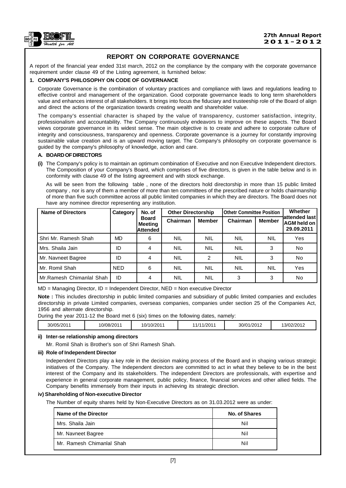

### **REPORT ON CORPORATE GOVERNANCE**

A report of the financial year ended 31st march, 2012 on the compliance by the company with the corporate governance requirement under clause 49 of the Listing agreement, is furnished below:

#### **1. COMPANY'S PHILOSOPHY ON CODE OF GOVERNANCE**

Corporate Governance is the combination of voluntary practices and compliance with laws and regulations leading to effective control and management of the organization. Good corporate governance leads to long term shareholders value and enhances interest of all stakeholders. It brings into focus the fiduciary and trusteeship role of the Board of align and direct the actions of the organization towards creating wealth and shareholder value.

The company's essential character is shaped by the value of transparency, customer satisfaction, integrity, professionalism and accountability. The Company continuously endeavors to improve on these aspects. The Board views corporate governance in its widest sense. The main objective is to create and adhere to corporate culture of integrity and consciousness, transparency and openness. Corporate governance is a journey for constantly improving sustainable value creation and is an upward moving target. The Company's philosophy on corporate governance is guided by the company's philosophy of knowledge, action and care.

#### **A. BOARD OF DIRECTORS**

**(i)** The Company's policy is to maintain an optimum combination of Executive and non Executive Independent directors. The Composition of your Company's Board, which comprises of five directors, is given in the table below and is in conformity with clause 49 of the listing agreement and with stock exchange.

As will be seen from the following table , none of the directors hold directorship in more than 15 public limited company , nor is any of them a member of more than ten committees of the prescribed nature or holds chairmanship of more than five such committee across all public limited companies in which they are directors. The Board does not have any nominee director representing any institution.

| <b>Name of Directors</b> | Category   | No. of                                            |            | <b>Other Directorship</b> | Othetr Committee Position |               | Whether                                       |
|--------------------------|------------|---------------------------------------------------|------------|---------------------------|---------------------------|---------------|-----------------------------------------------|
|                          |            | <b>Board</b><br><b>Meeting</b><br><b>Attended</b> | Chairman   | <b>Member</b>             | Chairman                  | <b>Member</b> | lattended last l<br>AGM held on<br>29.09.2011 |
| Shri Mr. Ramesh Shah     | MD.        | 6                                                 | <b>NIL</b> | <b>NIL</b>                | <b>NIL</b>                | <b>NIL</b>    | Yes                                           |
| Mrs. Shaila Jain         | ID         | 4                                                 | <b>NIL</b> | <b>NIL</b>                | <b>NIL</b>                | 3             | No.                                           |
| Mr. Navneet Bagree       | ID         | 4                                                 | <b>NIL</b> | 2                         | <b>NIL</b>                | 3             | No.                                           |
| Mr. Romil Shah           | <b>NED</b> | 6                                                 | <b>NIL</b> | <b>NIL</b>                | <b>NIL</b>                | <b>NIL</b>    | Yes                                           |
| Mr.Ramesh Chimanlal Shah | ID         | 4                                                 | <b>NIL</b> | <b>NIL</b>                | 3                         | 3             | No                                            |

MD = Managing Director, ID = Independent Director, NED = Non executive Director

**Note :** This includes directorship in public limited companies and subsidiary of public limited companies and excludes directorship in private Limited companies, overseas companies, companies under section 25 of the Companies Act, 1956 and alternate directorship.

During the year 2011-12 the Board met 6 (six) times on the following dates, namely:

| 30/05/201 | 0/08/201 | 10/10/201 | /201<br>. | 30/01/2012 | 13/02/2012 |
|-----------|----------|-----------|-----------|------------|------------|
|           |          |           |           |            |            |

#### **ii) Inter-se relationship among directors**

Mr. Romil Shah is Brother's son of Shri Ramesh Shah.

#### **iii) Role of Independent Director**

Independent Directors play a key role in the decision making process of the Board and in shaping various strategic initiatives of the Company. The Independent directors are committed to act in what they believe to be in the best interest of the Company and its stakeholders. The independent Directors are professionals, with expertise and experience in general corporate management, public policy, finance, financial services and other allied fields. The Company benefits immensely from their inputs in achieving its strategic direction.

#### **iv) Shareholding of Non-executive Director**

The Number of equity shares held by Non-Executive Directors as on 31.03.2012 were as under:

| Name of the Director      | No. of Shares |
|---------------------------|---------------|
| Mrs. Shaila Jain          | Nil           |
| Mr. Navneet Bagree        | Nil           |
| Mr. Ramesh Chimanlal Shah | Nil           |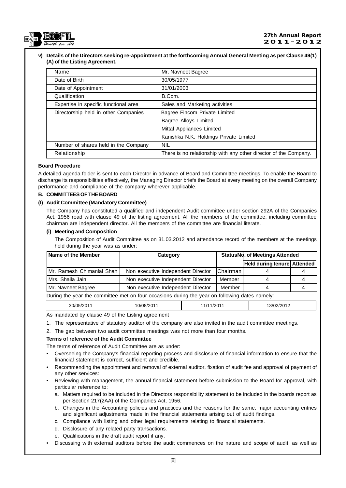

#### **v) Details of the Directors seeking re-appointment at the forthcoming Annual General Meeting as per Clause 49(1) (A) of the Listing Agreement.**

| Name                                  | Mr. Navneet Bagree                                               |
|---------------------------------------|------------------------------------------------------------------|
| Date of Birth                         | 30/05/1977                                                       |
| Date of Appointment                   | 31/01/2003                                                       |
| Qualification                         | B.Com.                                                           |
| Expertise in specific functional area | Sales and Marketing activities                                   |
| Directorship held in other Companies  | Bagree Fincom Private Limited                                    |
|                                       | Bagree Alloys Limited                                            |
|                                       | Mittal Appliances Limited                                        |
|                                       | Kanishka N.K. Holdings Private Limited                           |
| Number of shares held in the Company  | <b>NIL</b>                                                       |
| Relationship                          | There is no relationship with any other director of the Company. |

#### **Board Procedure**

A detailed agenda folder is sent to each Director in advance of Board and Committee meetings. To enable the Board to discharge its responsibilities effectively, the Managing Director briefs the Board at every meeting on the overall Company performance and compliance of the company wherever applicable.

#### **B. COMMITTEES OF THE BOARD**

#### **(I) Audit Committee (Mandatory Committee)**

The Company has constituted a qualified and independent Audit committee under section 292A of the Companies Act, 1956 read with clause 49 of the listing agreement. All the members of the committee, including committee chairman are independent director. All the members of the committee are financial literate.

#### **(i) Meeting and Composition**

The Composition of Audit Committee as on 31.03.2012 and attendance record of the members at the meetings held during the year was as under:

| <b>Name of the Member</b> | Category                                                                                       |                  |        | StatusNo. of Meetings Attended |  |
|---------------------------|------------------------------------------------------------------------------------------------|------------------|--------|--------------------------------|--|
|                           |                                                                                                |                  |        | Held during tenure Attended    |  |
| Mr. Ramesh Chimanlal Shah | Non executive Independent Director                                                             | <b>IChairman</b> |        |                                |  |
| Mrs. Shaila Jain          | Non executive Independent Director                                                             | Member           |        |                                |  |
| Mr. Navneet Bagree        | Non executive Independent Director                                                             |                  | Member |                                |  |
|                           | During the year the committee met on four occasions during the year on following dates namely: |                  |        |                                |  |
| 30/05/2011                | 10/08/2011<br>11/11/2011                                                                       |                  |        | 13/02/2012                     |  |

As mandated by clause 49 of the Listing agreement

- 1. The representative of statutory auditor of the company are also invited in the audit committee meetings.
- 2. The gap between two audit committee meetings was not more than four months.

#### **Terms of reference of the Audit Committee**

The terms of reference of Audit Committee are as under:

- Overseeing the Company's financial reporting process and disclosure of financial information to ensure that the financial statement is correct, sufficient and credible.
- Recommending the appointment and removal of external auditor, fixation of audit fee and approval of payment of any other services:
- Reviewing with management, the annual financial statement before submission to the Board for approval, with particular reference to:
	- a. Matters required to be included in the Directors responsibility statement to be included in the boards report as per Section 217(2AA) of the Companies Act, 1956.
	- b. Changes in the Accounting policies and practices and the reasons for the same, major accounting entries and significant adjustments made in the financial statements arising out of audit findings.
	- c. Compliance with listing and other legal requirements relating to financial statements.
	- d. Disclosure of any related party transactions.
	- e. Qualifications in the draft audit report if any.
- Discussing with external auditors before the audit commences on the nature and scope of audit, as well as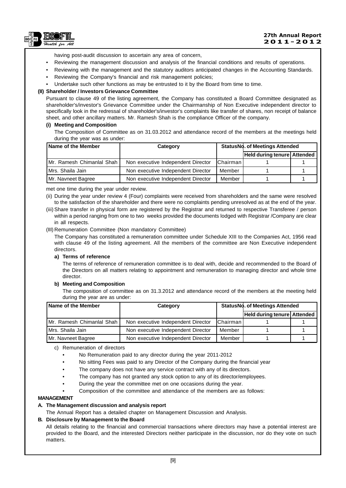

having post-audit discussion to ascertain any area of concern,

- Reviewing the management discussion and analysis of the financial conditions and results of operations.
- Reviewing with the management and the statutory auditors anticipated changes in the Accounting Standards.
- Reviewing the Company's financial and risk management policies;
- Undertake such other functions as may be entrusted to it by the Board from time to time.

#### **(II) Shareholder / Investors Grievance Committee**

Pursuant to clause 49 of the listing agreement, the Company has constituted a Board Committee designated as shareholder's/investor's Grievance Committee under the Chairmanship of Non Executive independent director to specifically look in the redressal of shareholder's/investor's complaints like transfer of shares, non receipt of balance sheet, and other ancillary matters. Mr. Ramesh Shah is the compliance Officer of the company.

#### **(i) Meeting and Composition**

Health for All

The Composition of Committee as on 31.03.2012 and attendance record of the members at the meetings held during the year was as under:

| Name of the Member         | Category                           | Status No. of Meetings Attended |                             |  |
|----------------------------|------------------------------------|---------------------------------|-----------------------------|--|
|                            |                                    |                                 | Held during tenure Attended |  |
| IMr. Ramesh Chimanlal Shah | Non executive Independent Director | <b>IChairman</b>                |                             |  |
| IMrs. Shaila Jain          | Non executive Independent Director | Member                          |                             |  |
| Mr. Navneet Bagree         | Non executive Independent Director | Member                          |                             |  |

met one time during the year under review.

(ii) During the year under review 4 (Four) complaints were received from shareholders and the same were resolved to the satisfaction of the shareholder and there were no complaints pending unresolved as at the end of the year.

(iii)Share transfer in physical form are registered by the Registrar and returned to respective Transferee / person within a period ranging from one to two weeks provided the documents lodged with Registrar /Company are clear in all respects.

(III) Remuneration Committee (Non mandatory Committee)

The Company has constituted a remuneration committee under Schedule XIII to the Companies Act, 1956 read with clause 49 of the listing agreement. All the members of the committee are Non Executive independent directors.

#### **a) Terms of reference**

The terms of reference of remuneration committee is to deal with, decide and recommended to the Board of the Directors on all matters relating to appointment and remuneration to managing director and whole time director.

#### **b) Meeting and Composition**

The composition of committee as on 31.3.2012 and attendance record of the members at the meeting held during the year are as under:

| <b>Name of the Member</b> | Category                           |                  | StatusNo. of Meetings Attended |  |
|---------------------------|------------------------------------|------------------|--------------------------------|--|
|                           |                                    |                  | Held during tenure Attended    |  |
| Mr. Ramesh Chimanlal Shah | Non executive Independent Director | <b>IChairman</b> |                                |  |
| IMrs. Shaila Jain         | Non executive Independent Director | Member           |                                |  |
| Mr. Navneet Bagree        | Non executive Independent Director | Member           |                                |  |

- c) Remuneration of directors
	- No Remuneration paid to any director during the year 2011-2012
	- No sitting Fees was paid to any Director of the Company during the financial year
	- The company does not have any service contract with any of its directors.
	- The company has not granted any stock option to any of its director/employees.
	- During the year the committee met on one occasions during the year.
	- Composition of the committee and attendance of the members are as follows:

#### **MANAGEMENT**

#### **A. The Management discussion and analysis report**

The Annual Report has a detailed chapter on Management Discussion and Analysis.

#### **B. Disclosure by Management to the Board**

All details relating to the financial and commercial transactions where directors may have a potential interest are provided to the Board, and the interested Directors neither participate in the discussion, nor do they vote on such matters.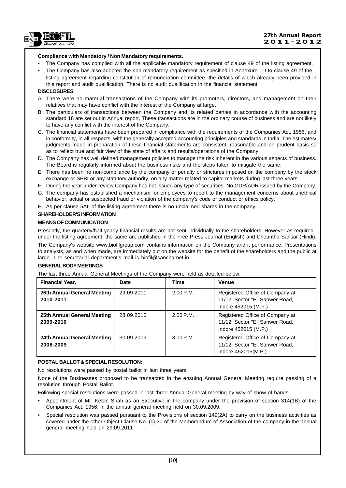

#### **Compliance with Mandatory / Non Mandatory requirements.**

- The Company has complied with all the applicable mandatory requirement of clause 49 of the listing agreement.
- The Company has also adopted the non mandatory requirement as specified in Annexure 1D to clause 49 of the listing agreement regarding constitution of remuneration committee, the details of which already been provided in this report and audit qualification. There is no audit qualification in the financial statement.

#### **DISCLOSURES**

Health for All

- A. There were no material transactions of the Company with its promoters, directors, and management on their relatives that may have conflict with the interest of the Company at large.
- B. The particulars of transactions between the Company and its related parties in accordance with the accounting standard 18 are set out in Annual report. These transactions are in the ordinary course of business and are not likely to have any conflict with the interest of the Company.
- C. The financial statements have been prepared in compliance with the requirements of the Companies Act, 1956, and in conformity, in all respects, with the generally accepted accounting principles and standards in India. The estimates/ judgments made in preparation of these financial statements are consistent, reasonable and on prudent basis so as to reflect true and fair view of the state of affairs and results/operations of the Company.
- D. The Company has well defined management policies to manage the risk inherent in the various aspects of business. The Board is regularly informed about the business risks and the steps taken to mitigate the same.
- E. There has been no non-compliance by the company or penalty or strictures imposed on the company by the stock exchange or SEBI or any statutory authority, on any matter related to capital markets during last three years.
- F. During the year under review Company has not issued any type of securities. No GDR/ADR issued by the Company.
- G. The company has established a mechanism for employees to report to the management concerns about unethical behavior, actual or suspected fraud or violation of the company's code of conduct or ethics policy.
- H. As per clause 5AII of the listing agreement there is no unclaimed shares in the company.

#### **SHAREHOLDER'S INFORMATION**

#### **MEANS OF COMMUNICATION**

Presently, the quarterly/half yearly financial results are not sent individually to the shareholders. However as required under the listing agreement, the same are published in the Free Press Journal (English) and Chountha Sansar (Hindi).

The Company's website www.biofilgroup.com contains information on the Company and it performance. Presentations to analysts, as and when made, are immediately put on the website for the benefit of the shareholders and the public at large. The secretarial department's mail is biofil@sancharnet.in.

#### **GENERAL BODY MEETINGS**

| <b>Financial Year.</b>                   | Date       | Time      | Venue                                                                                     |
|------------------------------------------|------------|-----------|-------------------------------------------------------------------------------------------|
| 26th Annual General Meeting<br>2010-2011 | 29.09.2011 | 2.00 P.M. | Registered Office of Company at<br>11/12, Sector "E" Sanwer Road,<br>Indore 452015 (M.P.) |
| 25th Annual General Meeting<br>2009-2010 | 28.09.2010 | 2.00 P.M. | Registered Office of Company at<br>11/12, Sector "E" Sanwer Road,<br>Indore 452015 (M.P.) |
| 24th Annual General Meeting<br>2008-2009 | 30.09.2009 | 3.00 P.M. | Registered Office of Company at<br>11/12, Sector "E" Sanwer Road,<br>Indore 452015(M.P.)  |

The last three Annual General Meetings of the Company were held as detailed below:

#### **POSTAL BALLOT & SPECIAL RESOLUTION:**

No resolutions were passed by postal ballot in last three years.

None of the Businesses proposed to be transacted in the ensuing Annual General Meeting require passing of a resolution through Postal Ballot.

Following special resolutions were passed in last three Annual General meeting by way of show of hands:

- Appointment of Mr. Ketan Shah as an Executive in the company under the provision of section 314(1B) of the Companies Act, 1956, in the annual general meeting held on 30.09.2009.
- Special resolution was passed pursuant to the Provisions of section 149(2A) to carry on the business activities as covered under the other Object Clause No. (c) 30 of the Memorandum of Association of the company in the annual general meeting held on 29.09.2011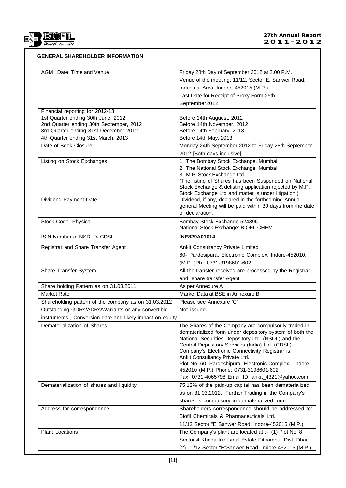

### **GENERAL SHAREHOLDER INFORMATION**

| AGM: Date, Time and Venue                                | Friday 28th Day of September 2012 at 2.00 P.M.                                       |
|----------------------------------------------------------|--------------------------------------------------------------------------------------|
|                                                          | Venue of the meeting: 11/12, Sector E, Sanwer Road,                                  |
|                                                          | Industrial Area, Indore- 452015 (M.P.)                                               |
|                                                          | Last Date for Receipt of Proxy Form 25th                                             |
|                                                          | September2012                                                                        |
| Financial reporting for 2012-13:                         |                                                                                      |
| 1st Quarter ending 30th June, 2012                       | Before 14th Auguest, 2012                                                            |
| 2nd Quarter ending 30th September, 2012                  | Before 14th November, 2012                                                           |
| 3rd Quarter ending 31st December 2012                    | Before 14th February, 2013                                                           |
| 4th Quarter ending 31st March, 2013                      | Before 14th May, 2013                                                                |
| Date of Book Closure                                     | Monday 24th September 2012 to Friday 28th September                                  |
|                                                          | 2012 [Both days inclusive]                                                           |
| Listing on Stock Exchanges                               | 1. The Bombay Stock Exchange, Mumbai                                                 |
|                                                          | 2. The National Stock Exchange, Mumbal                                               |
|                                                          | 3. M.P. Stock Exchange Ltd.<br>(The listing of Shares has been Suspended on National |
|                                                          | Stock Exchange & delisting application rejected by M.P.                              |
|                                                          | Stock Exchange Ltd and matter is under litigation.)                                  |
| Dividend Payment Date                                    | Dividend, if any, declared in the forthcoming Annual                                 |
|                                                          | general Meeting will be paid within 30 days from the date                            |
|                                                          | of declaration.                                                                      |
| Stock Code - Physical                                    | Bombay Stock Exchange 524396                                                         |
|                                                          | National Stock Exchange: BIOFILCHEM                                                  |
| ISIN Number of NSDL & CDSL                               | <b>INE829A01014</b>                                                                  |
| Registrar and Share Transfer Agent                       | Ankit Consultancy Private Limited                                                    |
|                                                          | 60- Pardesipura, Electronic Complex, Indore-452010,                                  |
|                                                          | (M.P. )Ph.: 0731-3198601-602                                                         |
| Share Transfer System                                    | All the transfer received are processed by the Registrar                             |
|                                                          | and share transfer Agent                                                             |
| Share holding Pattern as on 31.03.2011                   | As per Annexure A                                                                    |
| <b>Market Rate</b>                                       | Market Data at BSE in Annexure B                                                     |
| Shareholding pattern of the company as on 31.03.2012     | Please see Annexure 'C'                                                              |
| Outstanding GDRs/ADRs/Warrants or any convertible        | Not issued                                                                           |
| instruments, Conversion date and likely impact on equity |                                                                                      |
| Dematerialization of Shares                              | The Shares of the Company are compulsorily traded in                                 |
|                                                          | dematerialized form under depository system of both the                              |
|                                                          | National Securities Depository Ltd. (NSDL) and the                                   |
|                                                          | Central Depository Services (India) Ltd. (CDSL)                                      |
|                                                          | Company's Electronic Connectivity Registrar is:<br>Ankit Consultancy Private Ltd.    |
|                                                          | Plot No. 60, Pardeshipura, Electronic Complex, Indore-                               |
|                                                          | 452010 (M.P.) Phone: 0731-3198601-602                                                |
|                                                          | Fax: 0731-4065798 Email ID: ankit_4321@yahoo.com                                     |
| Dematerialization of shares and liquidity                | 75.12% of the paid-up capital has been dematerialized                                |
|                                                          | as on 31.03.2012. Further Trading in the Company's                                   |
|                                                          | shares is compulsory in dematerialized form                                          |
| Address for correspondence                               |                                                                                      |
|                                                          | Shareholders correspondence should be addressed to:                                  |
|                                                          | Biofil Chemicals & Pharmaceuticals Ltd.                                              |
|                                                          | 11/12 Sector "E"Sanwer Road, Indore-452015 (M.P.)                                    |
| <b>Plant Locations</b>                                   | The Company's plant are located at :- (1) Plot No. 8                                 |
|                                                          | Sector 4 Kheda Industrial Estate Pithampur Dist. Dhar                                |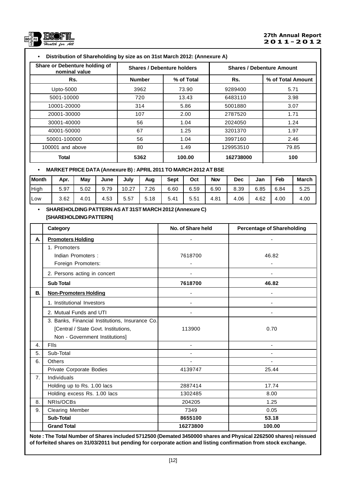

|              |           | nominal value            | Share or Debenture holding of |                                      |                                                 |               | <b>Shares / Debenture holders</b>                               |                   |                          |            |                          | <b>Shares / Debenture Amount</b>  |              |
|--------------|-----------|--------------------------|-------------------------------|--------------------------------------|-------------------------------------------------|---------------|-----------------------------------------------------------------|-------------------|--------------------------|------------|--------------------------|-----------------------------------|--------------|
|              |           | Rs.                      |                               |                                      |                                                 | <b>Number</b> | % of Total                                                      |                   | Rs.<br>% of Total Amount |            |                          |                                   |              |
| Upto-5000    |           |                          |                               | 3962                                 |                                                 | 73.90         |                                                                 | 9289400           |                          |            | 5.71                     |                                   |              |
|              |           | 5001-10000               |                               |                                      |                                                 | 720           |                                                                 | 13.43             |                          | 6483110    |                          |                                   | 3.98         |
|              |           | 10001-20000              |                               |                                      |                                                 | 314           |                                                                 | 5.86              |                          | 5001880    |                          |                                   | 3.07         |
|              |           | 20001-30000              |                               |                                      |                                                 | 107           |                                                                 | 2.00              |                          | 2787520    |                          |                                   | 1.71         |
|              |           | 30001-40000              |                               |                                      |                                                 | 56            |                                                                 | 1.04              |                          | 2024050    |                          |                                   | 1.24         |
|              |           | 40001-50000              |                               |                                      |                                                 | 67            |                                                                 | 1.25              |                          | 3201370    |                          |                                   | 1.97         |
|              |           | 50001-100000             |                               |                                      |                                                 | 56            |                                                                 | 1.04              |                          | 3997160    |                          |                                   | 2.46         |
|              |           | 100001 and above         |                               |                                      |                                                 | 80            |                                                                 | 1.49              |                          | 129953510  |                          |                                   | 79.85        |
|              |           | <b>Total</b>             |                               |                                      |                                                 | 5362          |                                                                 | 100.00            |                          | 162738000  |                          |                                   | 100          |
|              |           |                          |                               |                                      |                                                 |               | MARKET PRICE DATA (Annexure B): APRIL 2011 TO MARCH 2012 AT BSE |                   |                          |            |                          |                                   |              |
| <b>Month</b> |           | Apr.                     | May                           | June                                 | July                                            | Aug           | <b>Sept</b>                                                     | Oct               | <b>Nov</b>               | <b>Dec</b> | Jan                      | Feb                               | <b>March</b> |
| High         |           | 5.97                     | 5.02                          | 9.79                                 | 10.27                                           | 7.26          | 6.60                                                            | 6.59              | 6.90                     | 8.39       | 6.85                     | 6.84                              | 5.25         |
| Low          |           | 3.62                     | 4.01                          | 4.53                                 | 5.57                                            | 5.18          | 5.41                                                            | 5.51              | 4.81                     | 4.06       | 4.62                     | 4.00                              | 4.00         |
| $\bullet$    |           |                          |                               |                                      |                                                 |               | SHAREHOLDING PATTERN AS AT 31ST MARCH 2012 (Annexure C)         |                   |                          |            |                          |                                   |              |
|              |           |                          | [SHAREHOLDING PATTERN]        |                                      |                                                 |               |                                                                 |                   |                          |            |                          |                                   |              |
|              | Category  |                          |                               |                                      |                                                 |               |                                                                 | No. of Share held |                          |            |                          | <b>Percentage of Shareholding</b> |              |
| А.           |           | <b>Promoters Holding</b> |                               |                                      |                                                 |               |                                                                 |                   |                          |            |                          |                                   |              |
|              |           | 1. Promoters             |                               |                                      |                                                 |               | 7618700                                                         |                   |                          |            |                          |                                   |              |
|              |           |                          | Indian Promoters :            |                                      |                                                 |               |                                                                 |                   |                          | 46.82      |                          |                                   |              |
|              |           |                          | Foreign Promoters:            |                                      |                                                 |               |                                                                 |                   |                          |            |                          |                                   |              |
|              |           |                          | 2. Persons acting in concert  |                                      |                                                 |               |                                                                 |                   |                          |            |                          |                                   |              |
|              |           | <b>Sub Total</b>         |                               |                                      |                                                 |               | 7618700                                                         |                   |                          | 46.82      |                          |                                   |              |
| В.           |           |                          | <b>Non-Promoters Holding</b>  |                                      |                                                 |               | $\qquad \qquad \blacksquare$                                    |                   |                          |            |                          |                                   |              |
|              |           |                          | 1. Institutional Investors    |                                      |                                                 |               | ۰                                                               |                   |                          |            | -                        |                                   |              |
|              |           |                          | 2. Mutual Funds and UTI       |                                      |                                                 |               |                                                                 |                   |                          |            |                          |                                   |              |
|              |           |                          |                               |                                      | 3. Banks, Financial Institutions, Insurance Co. |               |                                                                 |                   |                          |            |                          |                                   |              |
|              |           |                          |                               | [Central / State Govt. Institutions, |                                                 |               | 113900                                                          |                   | 0.70                     |            |                          |                                   |              |
|              |           |                          |                               | Non - Government Institutions]       |                                                 |               |                                                                 |                   |                          |            |                          |                                   |              |
|              | Flls      |                          |                               |                                      |                                                 |               | $\overline{\phantom{0}}$                                        |                   |                          |            | $\overline{\phantom{a}}$ |                                   |              |
| 4.           | Sub-Total |                          |                               |                                      |                                                 |               |                                                                 |                   |                          |            |                          |                                   |              |
| 5.           |           |                          |                               |                                      | <b>Others</b>                                   |               |                                                                 |                   |                          |            |                          |                                   |              |
| 6.           |           |                          |                               |                                      |                                                 |               |                                                                 |                   |                          |            |                          |                                   |              |
|              |           |                          | Private Corporate Bodies      |                                      |                                                 |               |                                                                 | 4139747           |                          |            |                          | 25.44                             |              |
| 7.           |           | Individuals              | Holding up to Rs. 1.00 lacs   |                                      |                                                 |               |                                                                 | 2887414           |                          |            |                          | 17.74                             |              |

 $A\ell\iota$ 

**Note : The Total Number of Shares included 5712500 (Demated 3450000 shares and Physical 2262500 shares) reissued of forfeited shares on 31/03/2011 but pending for corporate action and listing confirmation from stock exchange.**

8. NRIs/OCBs 204205 1.25 9. Clearing Member 1. 2005 **Sub-Total 8655100 53.18 Grand Total 16273800 100.00**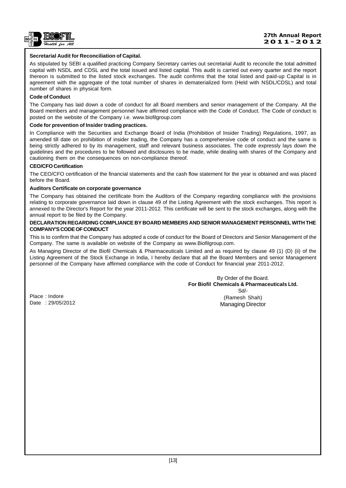

#### **Secretarial Audit for Reconciliation of Capital.**

As stipulated by SEBI a qualified practicing Company Secretary carries out secretarial Audit to reconcile the total admitted capital with NSDL and CDSL and the total issued and listed capital. This audit is carried out every quarter and the report thereon is submitted to the listed stock exchanges. The audit confirms that the total listed and paid-up Capital is in agreement with the aggregate of the total number of shares in dematerialized form (Held with NSDL/CDSL) and total number of shares in physical form.

### **Code of Conduct**

The Company has laid down a code of conduct for all Board members and senior management of the Company. All the Board members and management personnel have affirmed compliance with the Code of Conduct. The Code of conduct is posted on the website of the Company i.e. www.biofilgroup.com

#### **Code for prevention of Insider trading practices.**

In Compliance with the Securities and Exchange Board of India (Prohibition of Insider Trading) Regulations, 1997, as amended till date on prohibition of insider trading, the Company has a comprehensive code of conduct and the same is being strictly adhered to by its management, staff and relevant business associates. The code expressly lays down the guidelines and the procedures to be followed and disclosures to be made, while dealing with shares of the Company and cautioning them on the consequences on non-compliance thereof.

#### **CEO/CFO Certification**

The CEO/CFO certification of the financial statements and the cash flow statement for the year is obtained and was placed before the Board.

#### **Auditors Certificate on corporate governance**

The Company has obtained the certificate from the Auditors of the Company regarding compliance with the provisions relating to corporate governance laid down in clause 49 of the Listing Agreement with the stock exchanges. This report is annexed to the Director's Report for the year 2011-2012. This certificate will be sent to the stock exchanges, along with the annual report to be filed by the Company.

#### **DECLARATION REGARDING COMPLIANCE BY BOARD MEMBERS AND SENIOR MANAGEMENT PERSONNEL WITH THE COMPANY'S CODE OF CONDUCT**

This is to confirm that the Company has adopted a code of conduct for the Board of Directors and Senior Management of the Company. The same is available on website of the Company as www.Biofilgroup.com.

As Managing Director of the Biofil Chemicals & Pharmaceuticals Limited and as required by clause 49 (1) (D) (ii) of the Listing Agreement of the Stock Exchange in India, I hereby declare that all the Board Members and senior Management personnel of the Company have affirmed compliance with the code of Conduct for financial year 2011-2012.

> By Order of the Board. **For Biofil Chemicals & Pharmaceuticals Ltd.** Sd/- (Ramesh Shah) Managing Director

Place : Indore Date : 29/05/2012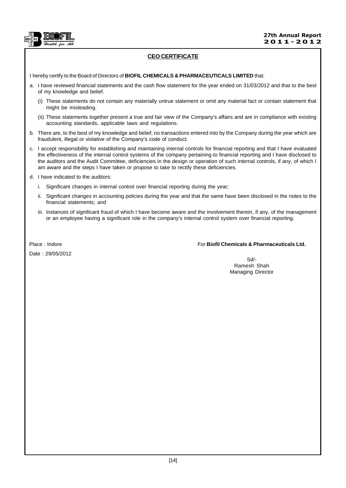

### **CEO CERTIFICATE**

I hereby certify to the Board of Directors of **BIOFIL CHEMICALS & PHARMACEUTICALS LIMITED** that:

- a. I have reviewed financial statements and the cash flow statement for the year ended on 31/03/2012 and that to the best of my knowledge and belief.
	- (i) These statements do not contain any materially untrue statement or omit any material fact or contain statement that might be misleading.
	- (ii) These statements together present a true and fair view of the Company's affairs and are in compliance with existing accounting standards, applicable laws and regulations.
- b. There are, to the best of my knowledge and belief, no transactions entered into by the Company during the year which are fraudulent, illegal or violative of the Company's code of conduct.
- c. I accept responsibility for establishing and maintaining internal controls for financial reporting and that I have evaluated the effectiveness of the internal control systems of the company pertaining to financial reporting and I have disclosed to the auditors and the Audit Committee, deficiencies in the design or operation of such internal controls, if any, of which I am aware and the steps I have taken or propose to take to rectify these deficiencies.
- d. I have indicated to the auditors:
	- i. Significant changes in internal control over financial reporting during the year;
	- ii. Significant changes in accounting policies during the year and that the same have been disclosed in the notes to the financial statements; and
	- iii. Instances of significant fraud of which I have become aware and the involvement therein, if any, of the management or an employee having a significant role in the company's internal control system over financial reporting.

Date : 29/05/2012

#### Place : Indore For **Biofil Chemicals & Pharmaceuticals Ltd.**

Sd/- Ramesh Shah Managing Director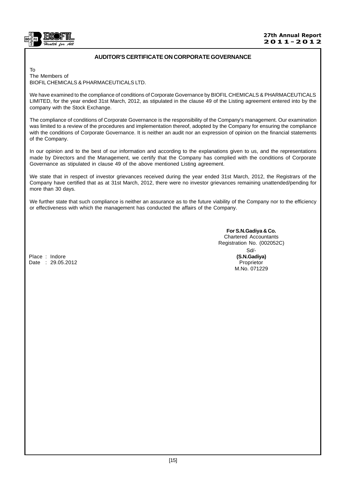

#### **AUDITOR'S CERTIFICATE ON CORPORATE GOVERNANCE**

To The Members of BIOFIL CHEMICALS & PHARMACEUTICALS LTD.

We have examined to the compliance of conditions of Corporate Governance by BIOFIL CHEMICALS & PHARMACEUTICALS LIMITED, for the year ended 31st March, 2012, as stipulated in the clause 49 of the Listing agreement entered into by the company with the Stock Exchange.

The compliance of conditions of Corporate Governance is the responsibility of the Company's management. Our examination was limited to a review of the procedures and implementation thereof, adopted by the Company for ensuring the compliance with the conditions of Corporate Governance. It is neither an audit nor an expression of opinion on the financial statements of the Company.

In our opinion and to the best of our information and according to the explanations given to us, and the representations made by Directors and the Management, we certify that the Company has complied with the conditions of Corporate Governance as stipulated in clause 49 of the above mentioned Listing agreement.

We state that in respect of investor grievances received during the year ended 31st March, 2012, the Registrars of the Company have certified that as at 31st March, 2012, there were no investor grievances remaining unattended/pending for more than 30 days.

We further state that such compliance is neither an assurance as to the future viability of the Company nor to the efficiency or effectiveness with which the management has conducted the affairs of the Company.

> **For S.N.Gadiya & Co.** Chartered Accountants Registration No. (002052C) Sd/-<br>(S.N.Gadiya) M.No. 071229

Place : Indore **(S.N.Gadiya)** Date :  $29.05.2012$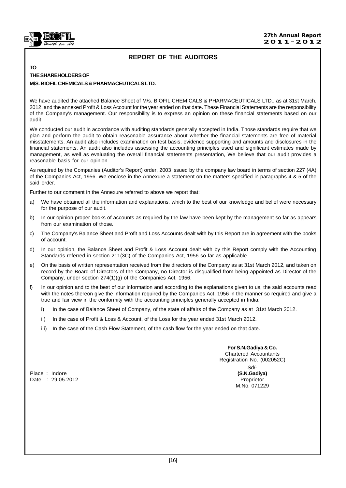

### **REPORT OF THE AUDITORS**

#### **TO THE SHAREHOLDERS OF M/S. BIOFIL CHEMICALS & PHARMACEUTICALS LTD.**

We have audited the attached Balance Sheet of M/s. BIOFIL CHEMICALS & PHARMACEUTICALS LTD., as at 31st March, 2012, and the annexed Profit & Loss Account for the year ended on that date. These Financial Statements are the responsibility of the Company's management. Our responsibility is to express an opinion on these financial statements based on our audit.

We conducted our audit in accordance with auditing standards generally accepted in India. Those standards require that we plan and perform the audit to obtain reasonable assurance about whether the financial statements are free of material misstatements. An audit also includes examination on test basis, evidence supporting and amounts and disclosures in the financial statements. An audit also includes assessing the accounting principles used and significant estimates made by management, as well as evaluating the overall financial statements presentation, We believe that our audit provides a reasonable basis for our opinion.

As required by the Companies (Auditor's Report) order, 2003 issued by the company law board in terms of section 227 (4A) of the Companies Act, 1956. We enclose in the Annexure a statement on the matters specified in paragraphs 4 & 5 of the said order.

Further to our comment in the Annexure referred to above we report that:

- a) We have obtained all the information and explanations, which to the best of our knowledge and belief were necessary for the purpose of our audit.
- b) In our opinion proper books of accounts as required by the law have been kept by the management so far as appears from our examination of those.
- c) The Company's Balance Sheet and Profit and Loss Accounts dealt with by this Report are in agreement with the books of account.
- d) In our opinion, the Balance Sheet and Profit & Loss Account dealt with by this Report comply with the Accounting Standards referred in section 211(3C) of the Companies Act, 1956 so far as applicable.
- e) On the basis of written representation received from the directors of the Company as at 31st March 2012, and taken on record by the Board of Directors of the Company, no Director is disqualified from being appointed as Director of the Company, under section 274(1)(g) of the Companies Act, 1956.
- f) In our opinion and to the best of our information and according to the explanations given to us, the said accounts read with the notes thereon give the information required by the Companies Act, 1956 in the manner so required and give a true and fair view in the conformity with the accounting principles generally accepted in India:
	- i) In the case of Balance Sheet of Company, of the state of affairs of the Company as at 31st March 2012.
	- ii) In the case of Profit & Loss & Account, of the Loss for the year ended 31st March 2012.
	- iii) In the case of the Cash Flow Statement, of the cash flow for the year ended on that date.

**For S.N.Gadiya & Co.** Chartered Accountants Registration No. (002052C) Sd/-<br>(S.N.Gadiya) Place : Indore **(S.N.Gadiya)** M.No. 071229

Date : 29.05.2012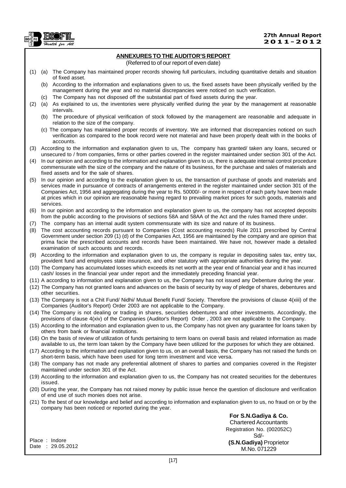#### **ANNEXURES TO THE AUDITOR'S REPORT**

(Referred to of our report of even date)

- (1) (a) The Company has maintained proper records showing full particulars, including quantitative details and situation of fixed asset.
	- (b) According to the information and explanations given to us, the fixed assets have been physically verified by the management during the year and no material discrepancies were noticed on such verification.
	- (c) The Company has not disposed off the substantial part of fixed assets during the year.
- (2) (a) As explained to us, the inventories were physically verified during the year by the management at reasonable intervals.
	- (b) The procedure of physical verification of stock followed by the management are reasonable and adequate in relation to the size of the company.
	- (c) The company has maintained proper records of inventory. We are informed that discrepancies noticed on such verification as compared to the book record were not material and have been properly dealt with in the books of accounts.
- (3) According to the information and explanation given to us, The company has granted/ taken any loans, secured or unsecured to / from companies, firms or other parties covered in the register maintained under section 301 of the Act.
- (4) In our opinion and according to the information and explanation given to us, there is adequate internal control procedure commensurate with the size of the company and the nature of its business, for the purchase and sales of materials and fixed assets and for the sale of shares.
- (5) In our opinion and according to the explanation given to us, the transaction of purchase of goods and materials and services made in pursuance of contracts of arrangements entered in the register maintained under section 301 of the Companies Act, 1956 and aggregating during the year to Rs. 50000/- or more in respect of each party have been made at prices which in our opinion are reasonable having regard to prevailing market prices for such goods, materials and services.
- (6) In our opinion and according to the information and explanation given to us, the company has not accepted deposits from the public according to the provisions of sections 58A and 58AA of the Act and the rules framed there under.
- (7) The company has an internal audit system commensurate with its size and nature of its business.
- (8) The cost accounting records pursuant to Companies (Cost accounting records) Rule 2011 prescribed by Central Government under section 209 (1) (d) of the Companies Act, 1956 are maintained by the company and are opinion that prima facie the prescribed accounts and records have been maintained. We have not, however made a detailed examination of such accounts and records.
- (9) According to the information and explanation given to us, the company is regular in depositing sales tax, entry tax, provident fund and employees state insurance, and other statutory with appropriate authorities during the year.
- (10) The Company has accumulated losses which exceeds its net worth at the year end of financial year and it has incurred cash/ losses in the financial year under report and the immediately preceding financial year.
- (11) A according to information and explanation given to us, the Company has not issued any Debenture during the year.
- (12) The Company has not granted loans and advances on the basis of security by way of pledge of shares, debentures and other securities.
- (13) The Company is not a Chit Fund/ Nidhi/ Mutual Benefit Fund/ Society. Therefore the provisions of clause 4(xiii) of the Companies (Auditor's Report) Order 2003 are not applicable to the Company.
- (14) The Company is not dealing or trading in shares, securities debentures and other investments. Accordingly, the provisions of clause 4(xiv) of the Companies (Auditor's Report) Order , 2003 are not applicable to the Company.
- (15) According to the information and explanation given to us, the Company has not given any guarantee for loans taken by others from bank or financial institutions.
- (16) On the basis of review of utilization of funds pertaining to term loans on overall basis and related information as made available to us, the term loan taken by the Company have been utilized for the purposes for which they are obtained.
- (17) According to the information and explanation given to us, on an overall basis, the Company has not raised the funds on short-term basis, which have been used for long term investment and vice versa.
- (18) The company has not made any preferential allotment of shares to parties and companies covered in the Register maintained under section 301 of the Act.
- (19) According to the information and explanation given to us, the Company has not created securities for the debentures issued.
- (20) During the year, the Company has not raised money by public issue hence the question of disclosure and verification of end use of such monies does not arise.
- (21) To the best of our knowledge and belief and according to information and explanation given to us, no fraud on or by the company has been noticed or reported during the year.

Place : Indore Date : 29.05.2012

Health for All

Chartered Accountants Registration No. (002052C) Sd/- **(S.N.Gadiya)** Proprietor M.No. 071229

**For S.N.Gadiya & Co.**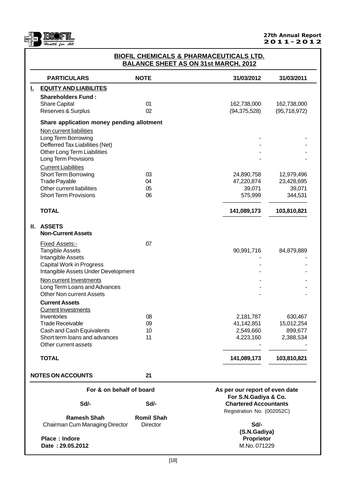



| Ŀ  | <b>EQUITY AND LIABILITES</b>                               |    |                |              |
|----|------------------------------------------------------------|----|----------------|--------------|
|    | <b>Shareholders Fund:</b>                                  |    |                |              |
|    | <b>Share Capital</b>                                       | 01 | 162,738,000    | 162,738,000  |
|    | Reserves & Surplus                                         | 02 | (94, 375, 528) | (95,718,972) |
|    | Share application money pending allotment                  |    |                |              |
|    | Non current liabilities                                    |    |                |              |
|    | Long Term Borrowing                                        |    |                |              |
|    | Defferred Tax Liabilities (Net)                            |    |                |              |
|    | Other Long Term Liabilities<br><b>Long Term Provisions</b> |    |                |              |
|    | <b>Current Liabilities</b>                                 |    |                |              |
|    | <b>Short Term Borrowing</b>                                | 03 | 24,890,758     | 12,979,496   |
|    | <b>Trade Payable</b>                                       | 04 | 47,220,874     | 23,428,695   |
|    | Other current liabilities                                  | 05 | 39,071         | 39,071       |
|    | <b>Short Term Provisions</b>                               | 06 | 575,999        | 344,531      |
|    | <b>TOTAL</b>                                               |    | 141,089,173    | 103,810,821  |
| Н. | <b>ASSETS</b>                                              |    |                |              |
|    | <b>Non-Current Assets</b>                                  |    |                |              |
|    | <b>Fixed Assets:-</b>                                      | 07 |                |              |
|    | <b>Tangible Assets</b>                                     |    | 90,991,716     | 84,879,889   |
|    | Intangible Assets                                          |    |                |              |
|    | <b>Capital Work in Progress</b>                            |    |                |              |
|    | Intangible Assets Under Development                        |    |                |              |
|    | Non current Investments<br>Long Term Loans and Advances    |    |                |              |
|    | <b>Other Non current Assets</b>                            |    |                |              |
|    | <b>Current Assets</b>                                      |    |                |              |
|    | <b>Current Investments</b>                                 |    |                |              |
|    | Inventories                                                | 08 | 2,181,787      | 630,467      |
|    | <b>Trade Receivable</b>                                    | 09 | 41,142,851     | 15,012,254   |
|    | Cash and Cash Equivalents                                  | 10 | 2,549,660      | 899,677      |
|    | Short term loans and advances<br>Other current assets      | 11 | 4,223,160      | 2,388,534    |
|    | <b>TOTAL</b>                                               |    | 141,089,173    | 103,810,821  |
|    |                                                            |    |                |              |
|    | NOTES ON ACCOUNTS                                          | 21 |                |              |

**BIOFIL CHEMICALS & PHARMACEUTICALS LTD. BALANCE SHEET AS ON 31st MARCH, 2012**

**PARTICULARS NOTE 31/03/2012 31/03/2011**

| <b>NOTES ON ACCOUNTS</b>       | 21                |                                        |
|--------------------------------|-------------------|----------------------------------------|
| For & on behalf of board       |                   | As per our report of<br>For S.N.Gadiya |
| Sd/-                           | Sd/-              | <b>Chartered Accoul</b>                |
|                                |                   | Registration No. (00                   |
| <b>Ramesh Shah</b>             | <b>Romil Shah</b> |                                        |
| Chairman Cum Managing Director | Director          | Sd/-                                   |
|                                |                   | (S.N.Gadiya                            |
| Place: Indore                  |                   | <b>Proprietor</b>                      |

**Date : 29.05.2012** M.No. 071229

 $\overline{\phantom{0}}$ 

As per our report of even date **For S.N.Gadiya & Co. Chartered Accountants** Registration No. (002052C)

**(S.N.Gadiya)**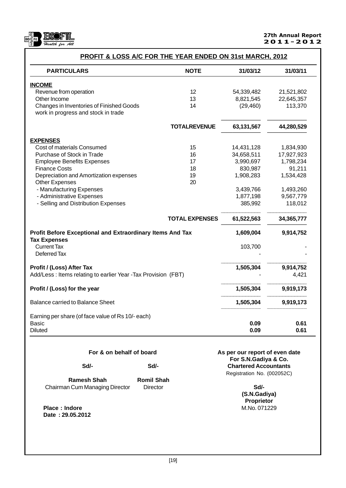**DFIIL 13K** Health for All

| <b>PARTICULARS</b>                                                               | <b>NOTE</b>           | 31/03/12   | 31/03/11     |
|----------------------------------------------------------------------------------|-----------------------|------------|--------------|
| <b>INCOME</b>                                                                    |                       |            |              |
| Revenue from operation                                                           | 12                    | 54,339,482 | 21,521,802   |
| Other Income                                                                     | 13                    | 8,821,545  | 22,645,357   |
| Changes in Inventories of Finished Goods                                         | 14                    | (29, 460)  | 113,370      |
| work in progress and stock in trade                                              |                       |            |              |
|                                                                                  | <b>TOTALREVENUE</b>   | 63,131,567 | 44,280,529   |
| <b>EXPENSES</b>                                                                  |                       |            |              |
| Cost of materials Consumed                                                       | 15                    | 14,431,128 | 1,834,930    |
| Purchase of Stock in Trade                                                       | 16                    | 34,658,511 | 17,927,923   |
| <b>Employee Benefits Expenses</b>                                                | 17                    | 3,990,697  | 1,798,234    |
| <b>Finance Costs</b>                                                             | 18                    | 830,987    | 91,211       |
| Depreciation and Amortization expenses                                           | 19                    | 1,908,283  | 1,534,428    |
| <b>Other Expenses</b>                                                            | 20                    |            |              |
| - Manufacturing Expenses                                                         |                       | 3,439,766  | 1,493,260    |
| - Administrative Expenses                                                        |                       | 1,877,198  | 9,567,779    |
| - Selling and Distribution Expenses                                              |                       | 385,992    | 118,012      |
|                                                                                  | <b>TOTAL EXPENSES</b> | 61,522,563 | 34, 365, 777 |
| Profit Before Exceptional and Extraordinary Items And Tax<br><b>Tax Expenses</b> |                       | 1,609,004  | 9,914,752    |
| <b>Current Tax</b>                                                               |                       | 103,700    |              |
| Deferred Tax                                                                     |                       |            |              |
| Profit / (Loss) After Tax                                                        |                       | 1,505,304  | 9,914,752    |
| Add/Less: Items relating to earlier Year -Tax Provision (FBT)                    |                       |            | 4,421        |
| Profit / (Loss) for the year                                                     |                       | 1,505,304  | 9,919,173    |
| <b>Balance carried to Balance Sheet</b>                                          |                       | 1,505,304  | 9,919,173    |
| Earning per share (of face value of Rs 10/- each)                                |                       |            |              |
| <b>Basic</b>                                                                     |                       | 0.09       | 0.61         |
| <b>Diluted</b>                                                                   |                       | 0.09       | 0.61         |

|      | For & on behalf of board |      |
|------|--------------------------|------|
| Sd/- |                          | Sd/- |

| Ramesh Shah                    | <b>Romil Shah</b> |      |
|--------------------------------|-------------------|------|
| Chairman Cum Managing Director | Director          | Sd/- |

**Place : Indore Date : 29.05.2012**

For & on behalf of board **As per our report of even date For S.N.Gadiya & Co. Chartered Accountants** Registration No. (002052C)

> **(S.N.Gadiya)** Proprietor<br>M.No. 071229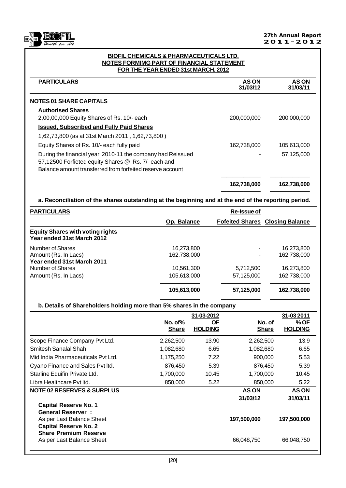

| <b>BIOFIL CHEMICALS &amp; PHARMACEUTICALS LTD.</b><br>NOTES FORMIMG PART OF FINANCIAL STATEMENT<br>FOR THE YEAR ENDED 31st MARCH, 2012                                         |                          |                          |  |  |  |  |  |
|--------------------------------------------------------------------------------------------------------------------------------------------------------------------------------|--------------------------|--------------------------|--|--|--|--|--|
| <b>PARTICULARS</b>                                                                                                                                                             | <b>AS ON</b><br>31/03/12 | <b>AS ON</b><br>31/03/11 |  |  |  |  |  |
| <b>NOTES 01 SHARE CAPITALS</b>                                                                                                                                                 |                          |                          |  |  |  |  |  |
| <b>Authorised Shares</b>                                                                                                                                                       |                          |                          |  |  |  |  |  |
| 2,00,00,000 Equity Shares of Rs. 10/- each                                                                                                                                     | 200,000,000              | 200,000,000              |  |  |  |  |  |
| <b>Issued, Subscribed and Fully Paid Shares</b>                                                                                                                                |                          |                          |  |  |  |  |  |
| 1,62,73,800 (as at 31st March 2011, 1,62,73,800)                                                                                                                               |                          |                          |  |  |  |  |  |
| Equity Shares of Rs. 10/- each fully paid                                                                                                                                      | 162,738,000              | 105,613,000              |  |  |  |  |  |
| During the financial year 2010-11 the company had Reissued<br>57,12500 Forfieted equity Shares @ Rs. 7/- each and<br>Balance amount transferred from forfeited reserve account |                          | 57,125,000               |  |  |  |  |  |
|                                                                                                                                                                                | 162,738,000              | 162,738,000              |  |  |  |  |  |

### **a. Reconciliation of the shares outstanding at the beginning and at the end of the reporting period.**

| <b>PARTICULARS</b>                                                     | Re-Issue of               |                                        |                           |  |  |
|------------------------------------------------------------------------|---------------------------|----------------------------------------|---------------------------|--|--|
|                                                                        | Op. Balance               | <b>Fofeited Shares Closing Balance</b> |                           |  |  |
| <b>Equity Shares with voting rights</b><br>Year ended 31st March 2012  |                           |                                        |                           |  |  |
| Number of Shares<br>Amount (Rs. In Lacs)<br>Year ended 31st March 2011 | 16,273,800<br>162,738,000 | ۰                                      | 16,273,800<br>162,738,000 |  |  |
| Number of Shares                                                       | 10,561,300                | 5,712,500                              | 16,273,800                |  |  |
| Amount (Rs. In Lacs)                                                   | 105,613,000               | 57,125,000                             | 162,738,000               |  |  |
|                                                                        | 105,613,000               | 57,125,000                             | 162,738,000               |  |  |

——————— ——————— ———————

### **b. Details of Shareholders holding more than 5% shares in the company**

|                                                                                                                       |                         | 31-03-2012           |                        | 31-03 2011             |
|-----------------------------------------------------------------------------------------------------------------------|-------------------------|----------------------|------------------------|------------------------|
|                                                                                                                       | No. of%<br><b>Share</b> | ΟF<br><b>HOLDING</b> | No. of<br><b>Share</b> | % OF<br><b>HOLDING</b> |
| Scope Finance Company Pvt Ltd.                                                                                        | 2,262,500               | 13.90                | 2,262,500              | 13.9                   |
| Smitesh Sanalal Shah                                                                                                  | 1,082,680               | 6.65                 | 1,082,680              | 6.65                   |
| Mid India Pharmaceuticals Pyt Ltd.                                                                                    | 1,175,250               | 7.22                 | 900,000                | 5.53                   |
| Cyano Finance and Sales Pvt Itd.                                                                                      | 876,450                 | 5.39                 | 876,450                | 5.39                   |
| Starline Equifin Private Ltd.                                                                                         | 1,700,000               | 10.45                | 1,700,000              | 10.45                  |
| Libra Healthcare Pyt Itd.                                                                                             | 850,000                 | 5.22                 | 850,000                | 5.22                   |
| <b>NOTE 02 RESERVES &amp; SURPLUS</b>                                                                                 |                         |                      | <b>AS ON</b>           | <b>AS ON</b>           |
|                                                                                                                       |                         |                      | 31/03/12               | 31/03/11               |
| <b>Capital Reserve No. 1</b><br><b>General Reserver:</b><br>As per Last Balance Sheet<br><b>Capital Reserve No. 2</b> |                         |                      | 197,500,000            | 197,500,000            |
| <b>Share Premium Reserve</b><br>As per Last Balance Sheet                                                             |                         |                      | 66,048,750             | 66,048,750             |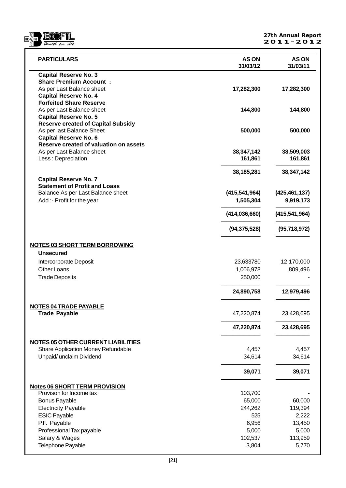**Health** for All

⊠ूँ

27th Annual Report<br>2011-2012

| <b>PARTICULARS</b>                                                              | <b>ASON</b>     | <b>ASON</b>     |
|---------------------------------------------------------------------------------|-----------------|-----------------|
|                                                                                 | 31/03/12        | 31/03/11        |
| <b>Capital Reserve No. 3</b>                                                    |                 |                 |
| <b>Share Premium Account:</b>                                                   |                 |                 |
| As per Last Balance sheet                                                       | 17,282,300      | 17,282,300      |
| <b>Capital Reserve No. 4</b>                                                    |                 |                 |
| <b>Forfeited Share Reserve</b>                                                  |                 |                 |
| As per Last Balance sheet                                                       | 144,800         | 144,800         |
| <b>Capital Reserve No. 5</b>                                                    |                 |                 |
| <b>Reserve created of Capital Subsidy</b>                                       |                 |                 |
| As per last Balance Sheet                                                       | 500,000         | 500,000         |
| <b>Capital Reserve No. 6</b>                                                    |                 |                 |
| Reserve created of valuation on assets                                          |                 |                 |
| As per Last Balance sheet                                                       | 38,347,142      | 38,509,003      |
| Less: Depreciation                                                              | 161,861         | 161,861         |
|                                                                                 |                 |                 |
|                                                                                 | 38, 185, 281    | 38,347,142      |
| <b>Capital Reserve No. 7</b>                                                    |                 |                 |
| <b>Statement of Profit and Loass</b>                                            |                 |                 |
| Balance As per Last Balance sheet                                               | (415, 541, 964) | (425, 461, 137) |
| Add :- Profit for the year                                                      | 1,505,304       | 9,919,173       |
|                                                                                 |                 |                 |
|                                                                                 | (414, 036, 660) | (415, 541, 964) |
|                                                                                 | (94, 375, 528)  | (95,718,972)    |
| <b>NOTES 03 SHORT TERM BORROWING</b>                                            |                 |                 |
| <b>Unsecured</b>                                                                |                 |                 |
|                                                                                 |                 |                 |
| Intercorporate Deposit                                                          | 23,633780       | 12,170,000      |
| <b>Other Loans</b>                                                              | 1,006,978       | 809,496         |
| <b>Trade Deposits</b>                                                           | 250,000         |                 |
|                                                                                 | 24,890,758      | 12,979,496      |
| <b>NOTES 04 TRADE PAYABLE</b>                                                   |                 |                 |
| Trade Payable                                                                   | 47,220,874      | 23,428,695      |
|                                                                                 | 47,220,874      | 23,428,695      |
|                                                                                 |                 |                 |
| <b>NOTES 05 OTHER CURRENT LIABILITIES</b><br>Share Application Money Refundable | 4,457           | 4,457           |
|                                                                                 |                 |                 |
| Unpaid/ unclaim Dividend                                                        | 34,614          | 34,614          |
|                                                                                 | 39,071          | 39,071          |
| <b>Notes 06 SHORT TERM PROVISION</b>                                            |                 |                 |
| Provison for Income tax                                                         | 103,700         |                 |
| <b>Bonus Payable</b>                                                            | 65,000          | 60,000          |
|                                                                                 |                 |                 |
| <b>Electricity Payable</b>                                                      | 244,262         | 119,394         |
| <b>ESIC Payable</b>                                                             | 525             | 2,222           |
| P.F. Payable                                                                    | 6,956           | 13,450          |
| Professional Tax payable                                                        | 5,000           | 5,000           |
| Salary & Wages                                                                  | 102,537         | 113,959         |
| Telephone Payable                                                               | 3,804           | 5,770           |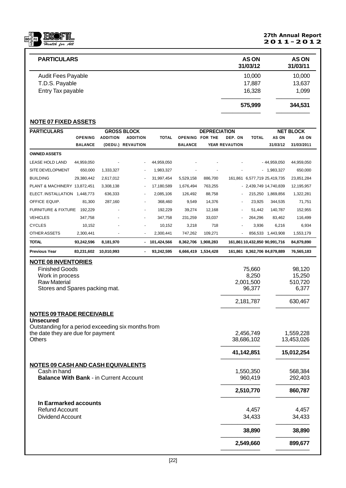

| <b>PARTICULARS</b> | <b>AS ON</b><br>31/03/12 | <b>AS ON</b><br>31/03/11 |
|--------------------|--------------------------|--------------------------|
| Audit Fees Payable | 10,000                   | 10,000                   |
| T.D.S. Payable     | 17,887                   | 13,637                   |
| Entry Tax payable  | 16,328                   | 1,099                    |
|                    | 575,999                  | 344,531                  |

#### **NOTE 07 FIXED ASSETS**

| <b>PARTICULARS</b>             |                |                 | <b>GROSS BLOCK</b>       |              |                | <b>DEPRECIATION</b> |                |              |                               | <b>NET BLOCK</b> |
|--------------------------------|----------------|-----------------|--------------------------|--------------|----------------|---------------------|----------------|--------------|-------------------------------|------------------|
|                                | <b>OPENING</b> | <b>ADDITION</b> | <b>ADDITION</b>          | <b>TOTAL</b> | <b>OPENING</b> | <b>FOR THE</b>      | DEP. ON        | <b>TOTAL</b> | AS ON                         | AS ON            |
|                                | <b>BALANCE</b> |                 | (DEDU.) REVAUTION        |              | <b>BALANCE</b> |                     | YEAR REVAUTION |              | 31/03/12                      | 31/03/2011       |
| <b>OWNED ASSETS</b>            |                |                 |                          |              |                |                     |                |              |                               |                  |
| <b>LEASE HOLD LAND</b>         | 44,959,050     |                 |                          | 44,959,050   |                |                     |                |              | $-44,959,050$                 | 44,959,050       |
| SITE DEVELOPMENT               | 650,000        | 1,333,327       | $\overline{\phantom{a}}$ | 1,983,327    |                |                     |                |              | $-1,983,327$                  | 650,000          |
| <b>BUILDING</b>                | 29,380,442     | 2,617,012       | $\blacksquare$           | 31,997,454   | 5,529,158      | 886,700             | 161,861        |              | 6,577,719 25,419,735          | 23,851,284       |
| PLANT & MACHINERY 13,872,451   |                | 3,308,138       | ٠                        | 17,180,589   | 1,676,494      | 763,255             |                |              | - 2,439,749 14,740,839        | 12,195,957       |
| ELECT. INSTALLATION            | 1.448.773      | 636,333         | $\blacksquare$           | 2,085,106    | 126,492        | 88,758              | $\sim$         | 215,250      | 1,869,856                     | 1,322,281        |
| OFFICE EQUIP.                  | 81,300         | 287,160         | $\blacksquare$           | 368,460      | 9,549          | 14,376              |                | 23,925       | 344,535                       | 71,751           |
| <b>FURNITURE &amp; FIXTURE</b> | 192,229        | $\blacksquare$  | $\blacksquare$           | 192,229      | 39,274         | 12,168              |                | 51.442       | 140,787                       | 152,955          |
| <b>VEHICLES</b>                | 347,758        |                 | ٠                        | 347,758      | 231,259        | 33,037              | ۰              | 264,296      | 83,462                        | 116,499          |
| <b>CYCLES</b>                  | 10,152         | $\blacksquare$  | ٠                        | 10,152       | 3,218          | 718                 |                | 3,936        | 6,216                         | 6,934            |
| OTHER ASSETS                   | 2,300,441      |                 | ۰                        | 2,300,441    | 747,262        | 109,271             |                | 856,533      | 1,443,908                     | 1,553,179        |
| <b>TOTAL</b>                   | 93,242,596     | 8,181,970       |                          | 101,424,566  | 8,362,706      | 1,908,283           |                |              | 161,861 10,432,850 90,991,716 | 84,879,890       |
| <b>Previous Year</b>           | 83,231,602     | 10,010,993      | -                        | 93,242,595   | 6,666,419      | 1,534,428           |                |              | 161,861 8,362,706 84,879,889  | 76,565,183       |

| <b>NOTE 08 INVENTORIES</b>                         |            |            |
|----------------------------------------------------|------------|------------|
| <b>Finished Goods</b>                              | 75,660     | 98,120     |
| Work in process                                    | 8,250      | 15,250     |
| <b>Raw Material</b>                                | 2,001,500  | 510,720    |
| Stores and Spares packing mat.                     | 96,377     | 6,377      |
|                                                    | 2,181,787  | 630,467    |
| <b>NOTES 09 TRADE RECEIVABLE</b>                   |            |            |
| <b>Unsecured</b>                                   |            |            |
| Outstanding for a period exceeding six months from |            |            |
| the date they are due for payment                  | 2,456,749  | 1,559,228  |
| <b>Others</b>                                      | 38,686,102 | 13,453,026 |
|                                                    | 41,142,851 | 15,012,254 |
| <b>NOTES 09 CASH AND CASH EQUIVALENTS</b>          |            |            |
| Cash in hand                                       | 1,550,350  | 568,384    |
| <b>Balance With Bank - in Current Account</b>      | 960,419    | 292,403    |
|                                                    | 2,510,770  | 860,787    |
| In Earmarked accounts                              |            |            |
| <b>Refund Account</b>                              | 4,457      | 4,457      |
| Dividend Account                                   | 34,433     | 34,433     |
|                                                    | 38,890     | 38,890     |
|                                                    | 2,549,660  | 899,677    |
|                                                    |            |            |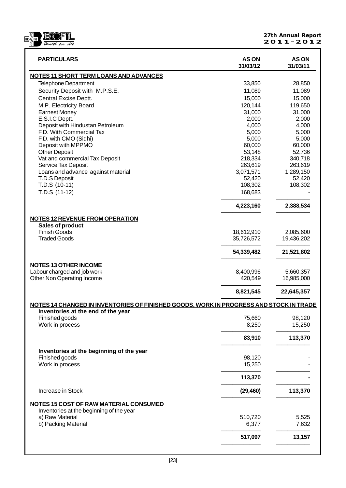**Health** for All ⊠ूँ

| <b>PARTICULARS</b>                                                                     | <b>ASON</b><br>31/03/12 | <b>AS ON</b><br>31/03/11 |
|----------------------------------------------------------------------------------------|-------------------------|--------------------------|
|                                                                                        |                         |                          |
| <b>NOTES 11 SHORT TERM LOANS AND ADVANCES</b>                                          | 33,850                  | 28,850                   |
| Telephone Department<br>Security Deposit with M.P.S.E.                                 |                         |                          |
|                                                                                        | 11,089                  | 11,089                   |
| Central Excise Deptt.                                                                  | 15,000                  | 15,000                   |
| M.P. Electricity Board                                                                 | 120,144                 | 119,650                  |
| <b>Earnest Money</b>                                                                   | 31,000                  | 31,000                   |
| E.S.I.C Deptt.                                                                         | 2,000<br>4,000          | 2,000                    |
| Deposit with Hindustan Petroleum<br>F.D. With Commercial Tax                           | 5,000                   | 4,000<br>5,000           |
| F.D. with CMO (Sidhi)                                                                  | 5,000                   | 5,000                    |
| Deposit with MPPMO                                                                     | 60,000                  | 60,000                   |
| <b>Other Deposit</b>                                                                   | 53,148                  | 52,736                   |
| Vat and commercial Tax Deposit                                                         | 218,334                 | 340,718                  |
| Service Tax Deposit                                                                    | 263,619                 | 263,619                  |
| Loans and advance against material                                                     | 3,071,571               | 1,289,150                |
| T.D.S Deposit                                                                          | 52,420                  | 52,420                   |
| T.D.S (10-11)                                                                          | 108,302                 | 108,302                  |
| T.D.S (11-12)                                                                          | 168,683                 |                          |
|                                                                                        | 4,223,160               | 2,388,534                |
| <b>NOTES 12 REVENUE FROM OPERATION</b>                                                 |                         |                          |
| <b>Sales of product</b>                                                                |                         |                          |
| <b>Finish Goods</b>                                                                    | 18,612,910              | 2,085,600                |
| <b>Traded Goods</b>                                                                    | 35,726,572              | 19,436,202               |
|                                                                                        | 54,339,482              | 21,521,802               |
| <b>NOTES 13 OTHER INCOME</b>                                                           |                         |                          |
| Labour charged and job work                                                            | 8,400,996               | 5,660,357                |
| Other Non Operating Income                                                             | 420,549                 | 16,985,000               |
|                                                                                        | 8,821,545               | 22,645,357               |
| NOTES 14 CHANGED IN INVENTORIES OF FINISHED GOODS, WORK IN PROGRESS AND STOCK IN TRADE |                         |                          |
| Inventories at the end of the year                                                     |                         |                          |
| Finished goods<br>Work in process                                                      | 75,660<br>8,250         | 98,120<br>15,250         |
|                                                                                        |                         |                          |
|                                                                                        | 83,910                  | 113,370                  |
| Inventories at the beginning of the year                                               |                         |                          |
| Finished goods                                                                         | 98,120                  |                          |
| Work in process                                                                        | 15,250                  |                          |
|                                                                                        | 113,370                 |                          |
|                                                                                        |                         |                          |
| Increase in Stock                                                                      | (29, 460)               | 113,370                  |
| <b>NOTES 15 COST OF RAW MATERIAL CONSUMED</b>                                          |                         |                          |
| Inventories at the beginning of the year                                               |                         |                          |
| a) Raw Material                                                                        | 510,720                 | 5,525                    |
| b) Packing Material                                                                    | 6,377                   | 7,632                    |
|                                                                                        | 517,097                 | 13,157                   |
|                                                                                        |                         |                          |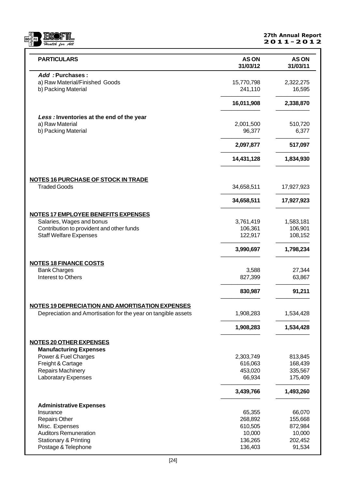| - | <b>IOF'</b><br>H  |
|---|-------------------|
|   | Health for<br>All |

| <b>PARTICULARS</b>                                            | <b>ASON</b><br>31/03/12 | <b>AS ON</b><br>31/03/11 |
|---------------------------------------------------------------|-------------------------|--------------------------|
| Add: Purchases:                                               |                         |                          |
| a) Raw Material/Finished Goods                                | 15,770,798              | 2,322,275                |
| b) Packing Material                                           | 241,110                 | 16,595                   |
|                                                               | 16,011,908              | 2,338,870                |
|                                                               |                         |                          |
| Less : Inventories at the end of the year<br>a) Raw Material  | 2,001,500               | 510,720                  |
| b) Packing Material                                           | 96,377                  | 6,377                    |
|                                                               | 2,097,877               | 517,097                  |
|                                                               |                         |                          |
|                                                               | 14,431,128              | 1,834,930                |
| NOTES 16 PURCHASE OF STOCK IN TRADE                           |                         |                          |
| <b>Traded Goods</b>                                           | 34,658,511              | 17,927,923               |
|                                                               | 34,658,511              | 17,927,923               |
| NOTES 17 EMPLOYEE BENEFITS EXPENSES                           |                         |                          |
| Salaries, Wages and bonus                                     | 3,761,419               | 1,583,181                |
| Contribution to provident and other funds                     | 106,361                 | 106,901                  |
| <b>Staff Welfare Expenses</b>                                 | 122,917                 | 108,152                  |
|                                                               | 3,990,697               | 1,798,234                |
| <b>NOTES 18 FINANCE COSTS</b>                                 |                         |                          |
| <b>Bank Charges</b>                                           | 3,588                   | 27,344                   |
| Interest to Others                                            | 827,399                 | 63,867                   |
|                                                               | 830,987                 | 91,211                   |
| <u>NOTES 19 DEPRECIATION AND AMORTISATION EXPENSES</u>        |                         |                          |
| Depreciation and Amortisation for the year on tangible assets | 1,908,283               | 1,534,428                |
|                                                               | 1,908,283               | 1,534,428                |
| <u>NOTES 20 OTHER EXPENSES</u>                                |                         |                          |
| <b>Manufacturing Expenses</b>                                 |                         |                          |
| Power & Fuel Charges                                          | 2,303,749               | 813,845                  |
| Freight & Cartage                                             | 616,063                 | 168,439                  |
| Repairs Machinery                                             | 453,020                 | 335,567                  |
| <b>Laboratary Expenses</b>                                    | 66,934                  | 175,409                  |
|                                                               | 3,439,766               | 1,493,260                |
| <b>Administrative Expenses</b>                                |                         |                          |
| Insurance                                                     | 65,355                  | 66,070                   |
| <b>Repairs Other</b>                                          | 268,892                 | 155,668                  |
| Misc. Expenses                                                | 610,505                 | 872,984                  |
| <b>Auditors Remuneration</b>                                  | 10,000                  | 10,000                   |
| <b>Stationary &amp; Printing</b>                              | 136,265                 | 202,452                  |
| Postage & Telephone                                           | 136,403                 | 91,534                   |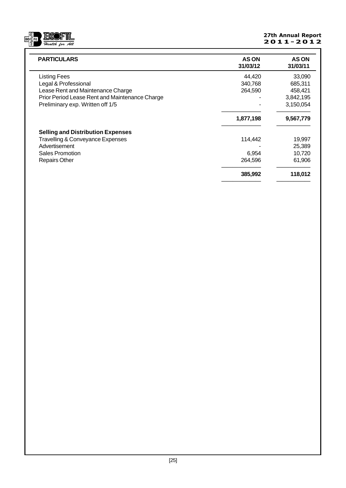

| <b>PARTICULARS</b>                             | <b>AS ON</b><br>31/03/12 | <b>AS ON</b><br>31/03/11 |
|------------------------------------------------|--------------------------|--------------------------|
| <b>Listing Fees</b>                            | 44,420                   | 33,090                   |
| Legal & Professional                           | 340,768                  | 685,311                  |
| Lease Rent and Maintenance Charge              | 264,590                  | 458,421                  |
| Prior Period Lease Rent and Maintenance Charge |                          | 3,842,195                |
| Preliminary exp. Written off 1/5               |                          | 3,150,054                |
|                                                | 1,877,198                | 9,567,779                |
| <b>Selling and Distribution Expenses</b>       |                          |                          |
| <b>Travelling &amp; Conveyance Expenses</b>    | 114,442                  | 19,997                   |
| Advertisement                                  |                          | 25,389                   |
| Sales Promotion                                | 6,954                    | 10,720                   |
| <b>Repairs Other</b>                           | 264,596                  | 61,906                   |
|                                                | 385,992                  | 118,012                  |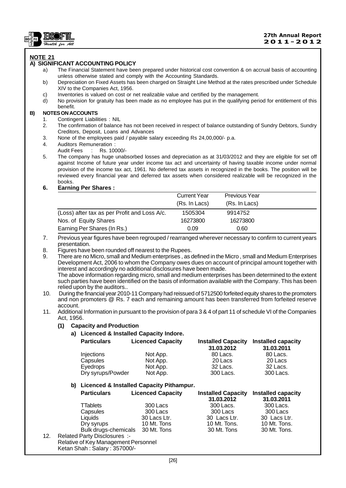

### **NOTE 21**

### **A) SIGNIFICANT ACCOUNTING POLICY**

- a) The Financial Statement have been prepared under historical cost convention & on accrual basis of accounting unless otherwise stated and comply with the Accounting Standards.
- b) Depreciation on Fixed Assets has been charged on Straight Line Method at the rates prescribed under Schedule XIV to the Companies Act, 1956.
- c) Inventories is valued on cost or net realizable value and certified by the management.
- d) No provision for gratuity has been made as no employee has put in the qualifying period for entitlement of this benefit.

### **B) NOTES ON ACCOUNTS**

- 1. Contingent Liabilities : NIL
- 2. The confirmation of balance has not been received in respect of balance outstanding of Sundry Debtors, Sundry Creditors, Deposit, Loans and Advances
- 3. None of the employees paid / payable salary exceeding Rs 24,00,000/- p.a.
- 4. Auditors Remuneration :<br>Audit Fees : Rs. 10
- $\therefore$  Rs. 10000/-
- 5. The company has huge unabsorbed losses and depreciation as at 31/03/2012 and they are eligible for set off against Income of future year under income tax act and uncertainty of having taxable income under normal provision of the income tax act, 1961. No deferred tax assets in recognized in the books. The position will be reviewed every financial year and deferred tax assets when considered realizable will be recognized in the books.

### **6. Earning Per Shares :**

|                                              | <b>Current Year</b> | <b>Previous Year</b> |  |
|----------------------------------------------|---------------------|----------------------|--|
|                                              | (Rs. In Lacs)       | (Rs. In Lacs)        |  |
| (Loss) after tax as per Profit and Loss A/c. | 1505304             | 9914752              |  |
| Nos. of Equity Shares                        | 16273800            | 16273800             |  |
| Earning Per Shares (In Rs.)                  | 0.09                | 0.60                 |  |

- 7. Previous year figures have been regrouped / rearranged wherever necessary to confirm to current years presentation.
- 8. Figures have been rounded off nearest to the Rupees.

9. There are no Micro, small and Medium enterprises , as defined in the Micro , small and Medium Enterprises Development Act, 2006 to whom the Company owes dues on account of principal amount together with interest and accordingly no additional disclosures have been made. The above information regarding micro, small and medium enterprises has been determined to the extent such parties have been identified on the basis of information available with the Company. This has been

- relied upon by the auditors.. 10. During the financial year 2010-11 Company had reissued of 5712500 forfeited equity shares to the promoters and non promoters @ Rs. 7 each and remaining amount has been transferred from forfeited reserve account.
- 11. Additional Information in pursuant to the provision of para 3 & 4 of part 11 of schedule VI of the Companies Act, 1956.
	- **(1) Capacity and Production**

**a) Licenced & Installed Capacity Indore.**

| <b>Particulars</b> | <b>Licenced Capacity</b> | <b>Installed Capacity</b> | <b>Installed capacity</b> |
|--------------------|--------------------------|---------------------------|---------------------------|
|                    |                          | 31.03.2012                | 31.03.2011                |
| Injections         | Not App.                 | 80 Lacs.                  | 80 Lacs.                  |
| Capsules           | Not App.                 | 20 Lacs                   | 20 Lacs                   |
| Eyedrops           | Not App.                 | 32 Lacs.                  | 32 Lacs.                  |
| Dry syrups/Powder  | Not App.                 | 300 Lacs.                 | 300 Lacs.                 |

**b) Licenced & Installed Capacity Pithampur.**

|     | <b>Particulars</b>                   | <b>Licenced Capacity</b> | <b>Installed Capacity</b><br>31.03.2012 | Installed capacity<br>31.03.2011 |
|-----|--------------------------------------|--------------------------|-----------------------------------------|----------------------------------|
|     | TTablets                             | 300 Lacs                 | 300 Lacs.                               | 300 Lacs.                        |
|     | Capsules                             | 300 Lacs                 | 300 Lacs                                | 300 Lacs                         |
|     | Liquids                              | 30 Lacs Ltr.             | 30 Lacs Ltr.                            | 30 Lacs Ltr.                     |
|     | Dry syrups                           | 10 Mt. Tons              | 10 Mt. Tons.                            | 10 Mt. Tons.                     |
|     | Bulk drugs-chemicals 30 Mt. Tons     |                          | 30 Mt. Tons                             | 30 Mt. Tons.                     |
| 12. | Related Party Disclosures :-         |                          |                                         |                                  |
|     | Relative of Key Management Personnel |                          |                                         |                                  |

Ketan Shah : Salary : 357000/-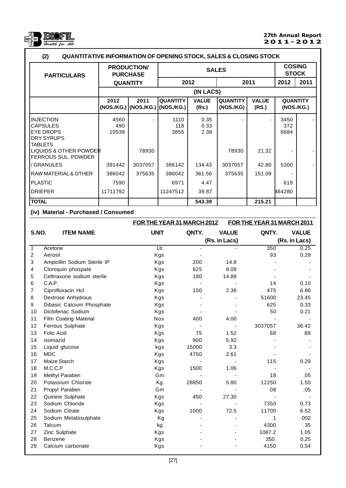

| (2)<br><b>QUANTITATIVE INFORMATION OF OPENING STOCK, SALES &amp; CLOSING STOCK</b> |                      |                                                                                                                                                                                |                     |                      |         |        |                               |      |
|------------------------------------------------------------------------------------|----------------------|--------------------------------------------------------------------------------------------------------------------------------------------------------------------------------|---------------------|----------------------|---------|--------|-------------------------------|------|
| <b>PARTICULARS</b>                                                                 |                      | <b>PRODUCTION/</b><br><b>PURCHASE</b>                                                                                                                                          |                     | <b>SALES</b>         |         |        | <b>COSING</b><br><b>STOCK</b> |      |
|                                                                                    |                      | <b>QUANTITY</b>                                                                                                                                                                | 2012                |                      |         | 2011   | 2012                          | 2011 |
|                                                                                    |                      |                                                                                                                                                                                |                     | (IN LACS)            |         |        |                               |      |
|                                                                                    | 2012                 | <b>QUANTITY</b><br><b>VALUE</b><br>2011<br><b>VALUE</b><br><b>QUANTITY</b><br><b>QUANTITY</b><br>(NOS./KG.) (NOS./KG.) (NOS./KG.)<br>(RS.)<br>(Rs.)<br>(NOS./KG)<br>(NOS./KG.) |                     |                      |         |        |                               |      |
| <b>INJECTION</b><br><b>CAPSULES</b><br>EYE DROPS<br>DRY SYRUPS<br><b>TABLETS</b>   | 4560<br>490<br>10539 |                                                                                                                                                                                | 1110<br>118<br>3855 | 0.35<br>0.33<br>2.38 |         |        | 3450<br>372<br>6684           |      |
| LIQUIDS & OTHER POWDER<br><b>FERROUS SUL, POWDER</b>                               |                      | 78930                                                                                                                                                                          |                     |                      | 78930   | 21.32  |                               |      |
| / GRANULES                                                                         | 391442               | 3037057                                                                                                                                                                        | 386142              | 134.43               | 3037057 | 42.80  | 5300                          |      |
| RAW MATERIAL & OTHER                                                               | 386042               | 375635                                                                                                                                                                         | 386042              | 361.56               | 375635  | 151.09 |                               |      |
| <b>PLASTIC</b>                                                                     | 7590                 |                                                                                                                                                                                | 6971                | 4.47                 |         |        | 619                           |      |
| <b>DRIEPER</b>                                                                     | 11711792             |                                                                                                                                                                                | 11247512            | 39.87                |         |        | 464280                        |      |
| <b>TOTAL</b>                                                                       |                      |                                                                                                                                                                                |                     | 543.39               |         | 215.21 |                               |      |

### **(iv) Material - Purchased / Consumed**

|                |                              | FOR THE YEAR 31 MARCH 2012 |       |               | FOR THE YEAR 31 MARCH 2011 |               |
|----------------|------------------------------|----------------------------|-------|---------------|----------------------------|---------------|
| S.NO.          | <b>ITEM NAME</b>             | <b>UNIT</b>                | QNTY. | <b>VALUE</b>  | QNTY.                      | <b>VALUE</b>  |
|                |                              |                            |       | (Rs. in Lacs) |                            | (Rs. in Lacs) |
| $\mathbf 1$    | Acetone                      | Ltr.                       |       |               | 350                        | 0.25          |
| $\overline{c}$ | Aerosil                      | Kgs                        |       |               | 93                         | 0.29          |
| 3              | Ampicillin Sodium Sterile IP | Kgs                        | 200   | 14.8          |                            |               |
| 4              | Cloroquin phospate           | Kgs                        | 825   | 8.09          |                            |               |
| 5              | Ceftriaxone sodium sterile   | Kgs                        | 180   | 14.88         |                            |               |
| 6              | C.A.P.                       | Kgs                        |       |               | 14                         | 0.10          |
| 7              | Ciprofloxacin Hcl            | Kgs                        | 150   | 2.36          | 475                        | 6.86          |
| 8              | Dextrose Anhydrous           | Kgs                        |       |               | 51600                      | 23.45         |
| 9              | Dibasic Calcium Phosphate    | Kgs                        |       |               | 625                        | 0.33          |
| 10             | Diclofenac Sodium            | Kgs                        |       |               | 50                         | 0.21          |
| 11             | <b>Film Coating Material</b> | <b>Nos</b>                 | 400   | 4.00          |                            |               |
| 12             | Ferrous Sulphate             | Kgs                        |       |               | 3037057                    | 36.42         |
| 13             | Folic Acid                   | Kgs                        | 75    | 1.52          | 68                         | 88            |
| 14             | isoniazid                    | Kgs                        | 900   | 5.92          |                            |               |
| 15             | Liquid glucose               | kgs                        | 15000 | 3.3           |                            |               |
| 16             | <b>MDC</b>                   | Kgs                        | 4750  | 2.61          |                            |               |
| 17             | Maize Starch                 | Kgs                        |       |               | 115                        | 0.29          |
| 18             | M.C.C.P                      | Kgs                        | 1500  | 1.06          |                            |               |
| 19             | Methyl Paraben               | Gm                         |       |               | 18                         | .05           |
| 20             | Potassium Chloride           | Kg.                        | 28850 | 5.80          | 12250                      | 1.50          |
| 21             | Propyl Paraben               | Gm                         |       |               | 08                         | .05           |
| 22             | Quinine Sulphate             | Kgs                        | 450   | 27.30         |                            |               |
| 23             | Sodium Chloride              | Kgs                        |       |               | 7350                       | 0.73          |
| 24             | Sodium Citrate               | Kgs                        | 1000  | 72.5          | 11700                      | 6.52          |
| 25             | Sodium Metabisulphate        | Kg                         |       |               | 1                          | .002          |
| 26             | Talcum                       | kg.                        |       |               | 4300                       | .35           |
| 27             | Zinc Sulphate                | Kgs                        |       |               | 1087.2                     | 1.05          |
| 28             | Benzene                      | Kgs                        |       |               | 350.                       | 0.25          |
| 29             | Calcium carbonate            | Kgs                        |       |               | 4150                       | 0.54          |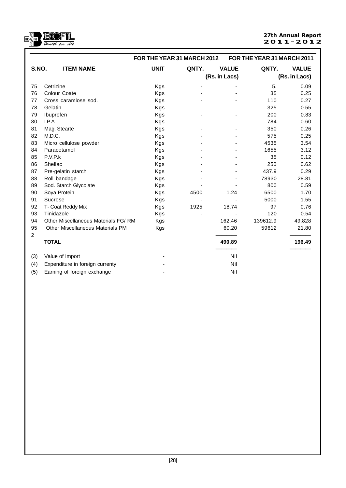

|                |                                         | FOR THE YEAR 31 MARCH 2012 |       |               | FOR THE YEAR 31 MARCH 2011 |               |
|----------------|-----------------------------------------|----------------------------|-------|---------------|----------------------------|---------------|
| S.NO.          | <b>ITEM NAME</b>                        | <b>UNIT</b>                | QNTY. | <b>VALUE</b>  | QNTY.                      | <b>VALUE</b>  |
|                |                                         |                            |       | (Rs. in Lacs) |                            | (Rs. in Lacs) |
| 75             | Cetrizine                               | Kgs                        |       |               | 5.                         | 0.09          |
| 76             | Colour Coate                            | Kgs                        |       |               | 35                         | 0.25          |
| 77             | Cross caramiose sod.                    | Kgs                        |       |               | 110                        | 0.27          |
| 78             | Gelatin                                 | Kgs                        |       |               | 325                        | 0.55          |
| 79             | Ibuprofen                               | Kgs                        |       |               | 200                        | 0.83          |
| 80             | I.P.A                                   | Kgs                        |       |               | 784                        | 0.60          |
| 81             | Mag. Stearte                            | Kgs                        |       |               | 350                        | 0.26          |
| 82             | M.D.C.                                  | Kgs                        |       |               | 575                        | 0.25          |
| 83             | Micro cellulose powder                  | Kgs                        |       |               | 4535                       | 3.54          |
| 84             | Paracetamol                             | Kgs                        |       |               | 1655                       | 3.12          |
| 85             | P.V.P.k                                 | Kgs                        |       |               | 35                         | 0.12          |
| 86             | Shellac                                 | Kgs                        |       |               | 250                        | 0.62          |
| 87             | Pre-gelatin starch                      | Kgs                        |       |               | 437.9                      | 0.29          |
| 88             | Roll bandage                            | Kgs                        |       |               | 78930                      | 28.81         |
| 89             | Sod. Starch Glycolate                   | Kgs                        |       |               | 800                        | 0.59          |
| 90             | Soya Protein                            | Kgs                        | 4500  | 1.24          | 6500                       | 1.70          |
| 91             | Sucrose                                 | Kgs                        |       |               | 5000                       | 1.55          |
| 92             | T- Coat Reddy Mix                       | Kgs                        | 1925  | 18.74         | 97                         | 0.76          |
| 93             | Tinidazole                              | Kgs                        |       |               | 120                        | 0.54          |
| 94             | Other Miscellaneous Materials FG/RM     | <b>Kgs</b>                 |       | 162.46        | 139612.9                   | 49.828        |
| 95             | <b>Other Miscellaneous Materials PM</b> | Kgs                        |       | 60.20         | 59612                      | 21.80         |
| $\overline{2}$ |                                         |                            |       |               |                            |               |
|                | <b>TOTAL</b>                            |                            |       | 490.89        |                            | 196.49        |
| (3)            | Value of Import                         | $\blacksquare$             |       | Nil           |                            |               |
| (4)            | Expenditure in foreign currenty         |                            |       | Nil           |                            |               |
| (5)            | Earning of foreign exchange             |                            |       | Nil           |                            |               |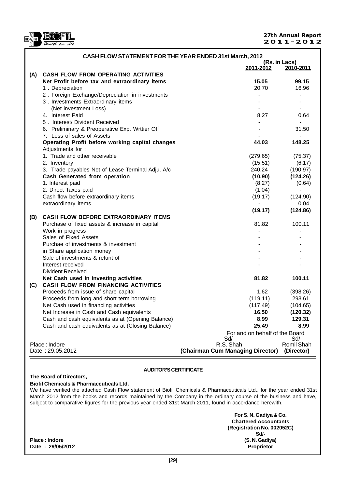Health for All

|     | <b>CASH FLOW STATEMENT FOR THE YEAR ENDED 31st March, 2012</b>      |                                  |                          |
|-----|---------------------------------------------------------------------|----------------------------------|--------------------------|
|     |                                                                     | (Rs. in Lacs)<br>2011-2012       | 2010-2011                |
| (A) | <b>CASH FLOW FROM OPERATING ACTIVITIES</b>                          |                                  |                          |
|     | Net Profit before tax and extraordinary items                       | 15.05                            | 99.15                    |
|     | 1. Depreciation                                                     | 20.70                            | 16.96                    |
|     | 2. Foreign Exchange/Depreciation in investments                     |                                  |                          |
|     | 3. Investments Extraordinary items                                  |                                  |                          |
|     | (Net investment Loss)                                               |                                  |                          |
|     | 4. Interest Paid                                                    | 8.27                             | 0.64                     |
|     | 5. Interest/ Divident Received                                      |                                  | $\overline{\phantom{a}}$ |
|     | 6. Preliminary & Preoperative Exp. Wrttier Off                      |                                  | 31.50                    |
|     | 7. Loss of sales of Assets                                          |                                  | $\blacksquare$           |
|     | Operating Profit before working capital changes<br>Adjustments for: | 44.03                            | 148.25                   |
|     | 1. Trade and other receivable                                       | (279.65)                         | (75.37)                  |
|     | 2. Inventory                                                        | (15.51)                          | (6.17)                   |
|     | 3. Trade payables Net of Lease Terminal Adju. A/c                   | 240.24                           | (190.97)                 |
|     | <b>Cash Generated from operation</b>                                | (10.90)                          | (124.26)                 |
|     | 1. Interest paid                                                    | (8.27)                           | (0.64)                   |
|     | 2. Direct Taxes paid                                                | (1.04)                           | $\blacksquare$           |
|     | Cash flow before extraordinary items                                | (19.17)                          | (124.90)                 |
|     | extraordinary items                                                 |                                  | 0.04                     |
|     |                                                                     | (19.17)                          | (124.86)                 |
| (B) | <b>CASH FLOW BEFORE EXTRAORDINARY ITEMS</b>                         |                                  |                          |
|     | Purchase of fixed assets & increase in capital                      | 81.82                            | 100.11                   |
|     | Work in progress                                                    |                                  |                          |
|     | Sales of Fixed Assets                                               |                                  |                          |
|     | Purchae of investments & investment                                 |                                  |                          |
|     | in Share application money                                          |                                  |                          |
|     | Sale of investments & refunt of                                     |                                  |                          |
|     | Interest received                                                   |                                  |                          |
|     | Divident Received                                                   |                                  |                          |
|     | Net Cash used in investing activities                               | 81.82                            | 100.11                   |
| (C) | <b>CASH FLOW FROM FINANCING ACTIVITIES</b>                          |                                  |                          |
|     | Proceeds from issue of share capital                                | 1.62                             | (398.26)                 |
|     | Proceeds from long and short term borrowing                         | (119.11)                         | 293.61                   |
|     | Net Cash used in financiing activities                              | (117.49)                         | (104.65)                 |
|     | Net Increase in Cash and Cash equivalents                           | 16.50                            | (120.32)                 |
|     | Cash and cash equivalents as at (Opening Balance)                   | 8.99                             | 129.31                   |
|     | Cash and cash equivalents as at (Closing Balance)                   | 25.49                            | 8.99                     |
|     |                                                                     | For and on behalf of the Board   |                          |
|     |                                                                     | Sd/-                             | Sd/-                     |
|     | Place: Indore                                                       | R.S. Shah                        | Romil Shah               |
|     | Date: 29.05.2012                                                    | (Chairman Cum Managing Director) | (Director)               |

#### **AUDITOR'S CERTIFICATE**

#### **The Board of Directors, Biofil Chemicals & Pharmaceuticals Ltd.**

We have verified the attached Cash Flow statement of Biofil Chemicals & Pharmaceuticals Ltd., for the year ended 31st March 2012 from the books and records maintained by the Company in the ordinary course of the business and have, subject to comparative figures for the previous year ended 31st March 2011, found in accordance herewith.

Date : 29/05/2012 **Proprietor** 

**For S. N. Gadiya & Co. Chartered Accountants (Registration No. 002052C) Sd/- Place : Indore (S. N. Gadiya)**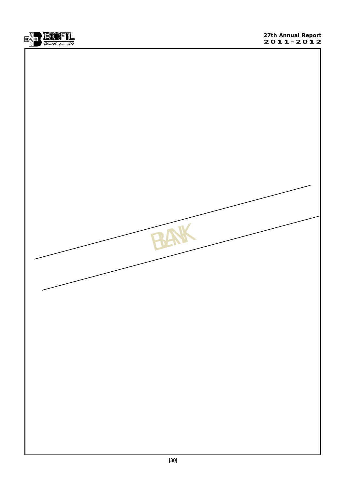

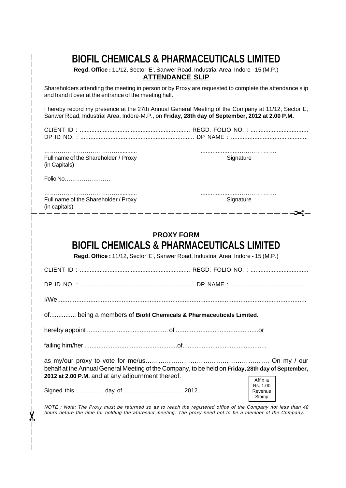# **BIOFIL CHEMICALS & PHARMACEUTICALS LIMITED**

**Regd. Office :** 11/12, Sector 'E', Sanwer Road, Industrial Area, Indore - 15 (M.P.) **ATTENDANCE SLIP**

Shareholders attending the meeting in person or by Proxy are requested to complete the attendance slip and hand it over at the entrance of the meeting hall.

I hereby record my presence at the 27th Annual General Meeting of the Company at 11/12, Sector E, Sanwer Road, Industrial Area, Indore-M.P., on **Friday, 28th day of September, 2012 at 2.00 P.M.**

CLIENT ID : ................................................................... REGD. FOLIO NO. : ................................... DP ID NO. : .................................................................... DP NAME : ..............................................

…………………………………........... .......................………………. Full name of the Shareholder / Proxy Signature Signature (in Capitals)

Folio No……………………

✂

…………………………………........... .......................………………. Full name of the Shareholder / Proxy Signature Signature (in capitals)

✂

## **PROXY FORM BIOFIL CHEMICALS & PHARMACEUTICALS LIMITED**

 $\frac{1}{1-\alpha}=\frac{1}{1-\alpha}=\frac{1}{1-\alpha}=\frac{1}{1-\alpha}=\frac{1}{1-\alpha}=\frac{1}{1-\alpha}=\frac{1}{1-\alpha}=\frac{1}{1-\alpha}=\frac{1}{1-\alpha}=\frac{1}{1-\alpha}=\frac{1}{1-\alpha}=\frac{1}{1-\alpha}=\frac{1}{1-\alpha}=\frac{1}{1-\alpha}=\frac{1}{1-\alpha}=\frac{1}{1-\alpha}=\frac{1}{1-\alpha}=\frac{1}{1-\alpha}=\frac{1}{1-\alpha}=\frac{1}{1-\alpha}=\frac{1}{1-\alpha}=\frac{1}{1-\alpha}=\frac{1}{1-\alpha}=\frac{1}{1-\alpha}=\frac{1$ 

**Regd. Office :** 11/12, Sector 'E', Sanwer Road, Industrial Area, Indore - 15 (M.P.)

| of being a members of Biofil Chemicals & Pharmaceuticals Limited.                                                                                                                                 |  |
|---------------------------------------------------------------------------------------------------------------------------------------------------------------------------------------------------|--|
|                                                                                                                                                                                                   |  |
|                                                                                                                                                                                                   |  |
| behalf at the Annual General Meeting of the Company, to be held on Friday, 28th day of September,<br>2012 at 2.00 P.M. and at any adjournment thereof.<br>Affix a<br>Rs. 1.00<br>Revenue<br>Stamp |  |
| NOTE: Note: The Proxy must be returned so as to reach the registered office of the Company not less than 48                                                                                       |  |

NOTE : Note: The Proxy must be returned so as to reach the registered office of the Company not less than 48 hours before the time for holding the aforesaid meeting. The proxy need not to be a member of the Company.